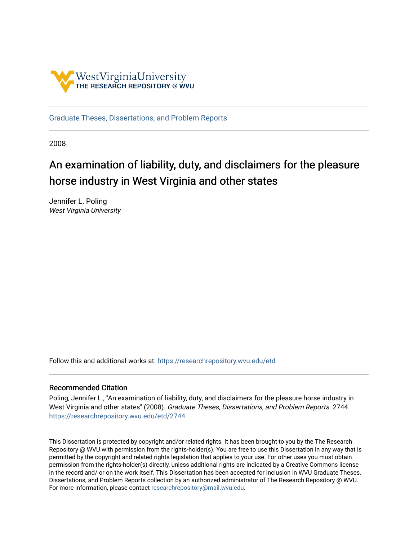

[Graduate Theses, Dissertations, and Problem Reports](https://researchrepository.wvu.edu/etd) 

2008

# An examination of liability, duty, and disclaimers for the pleasure horse industry in West Virginia and other states

Jennifer L. Poling West Virginia University

Follow this and additional works at: [https://researchrepository.wvu.edu/etd](https://researchrepository.wvu.edu/etd?utm_source=researchrepository.wvu.edu%2Fetd%2F2744&utm_medium=PDF&utm_campaign=PDFCoverPages) 

#### Recommended Citation

Poling, Jennifer L., "An examination of liability, duty, and disclaimers for the pleasure horse industry in West Virginia and other states" (2008). Graduate Theses, Dissertations, and Problem Reports. 2744. [https://researchrepository.wvu.edu/etd/2744](https://researchrepository.wvu.edu/etd/2744?utm_source=researchrepository.wvu.edu%2Fetd%2F2744&utm_medium=PDF&utm_campaign=PDFCoverPages)

This Dissertation is protected by copyright and/or related rights. It has been brought to you by the The Research Repository @ WVU with permission from the rights-holder(s). You are free to use this Dissertation in any way that is permitted by the copyright and related rights legislation that applies to your use. For other uses you must obtain permission from the rights-holder(s) directly, unless additional rights are indicated by a Creative Commons license in the record and/ or on the work itself. This Dissertation has been accepted for inclusion in WVU Graduate Theses, Dissertations, and Problem Reports collection by an authorized administrator of The Research Repository @ WVU. For more information, please contact [researchrepository@mail.wvu.edu](mailto:researchrepository@mail.wvu.edu).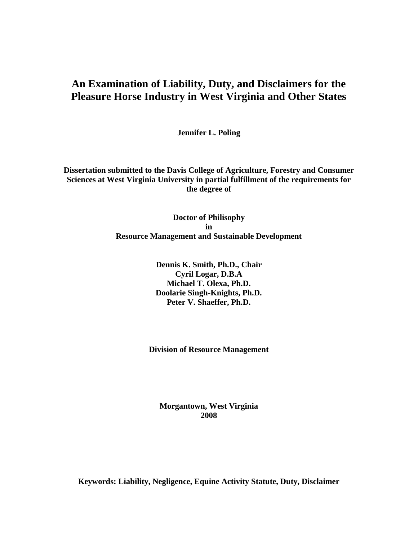## **An Examination of Liability, Duty, and Disclaimers for the Pleasure Horse Industry in West Virginia and Other States**

**Jennifer L. Poling**

**Dissertation submitted to the Davis College of Agriculture, Forestry and Consumer Sciences at West Virginia University in partial fulfillment of the requirements for the degree of**

> **Doctor of Philisophy in Resource Management and Sustainable Development**

> > **Dennis K. Smith, Ph.D., Chair Cyril Logar, D.B.A Michael T. Olexa, Ph.D. Doolarie Singh-Knights, Ph.D. Peter V. Shaeffer, Ph.D.**

**Division of Resource Management**

**Morgantown, West Virginia 2008**

**Keywords: Liability, Negligence, Equine Activity Statute, Duty, Disclaimer**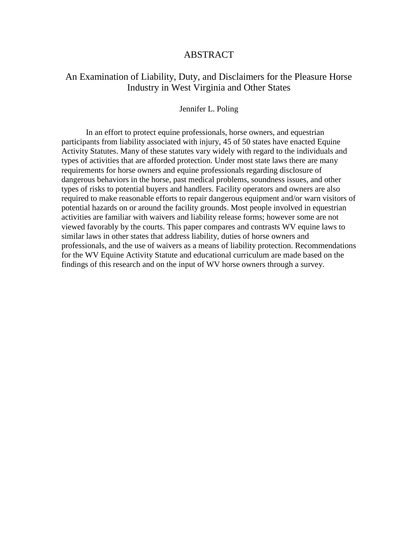#### ABSTRACT

### An Examination of Liability, Duty, and Disclaimers for the Pleasure Horse Industry in West Virginia and Other States

#### Jennifer L. Poling

In an effort to protect equine professionals, horse owners, and equestrian participants from liability associated with injury, 45 of 50 states have enacted Equine Activity Statutes. Many of these statutes vary widely with regard to the individuals and types of activities that are afforded protection. Under most state laws there are many requirements for horse owners and equine professionals regarding disclosure of dangerous behaviors in the horse, past medical problems, soundness issues, and other types of risks to potential buyers and handlers. Facility operators and owners are also required to make reasonable efforts to repair dangerous equipment and/or warn visitors of potential hazards on or around the facility grounds. Most people involved in equestrian activities are familiar with waivers and liability release forms; however some are not viewed favorably by the courts. This paper compares and contrasts WV equine laws to similar laws in other states that address liability, duties of horse owners and professionals, and the use of waivers as a means of liability protection. Recommendations for the WV Equine Activity Statute and educational curriculum are made based on the findings of this research and on the input of WV horse owners through a survey.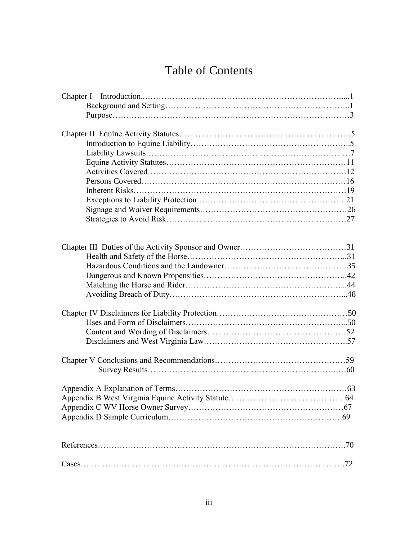# Table of Contents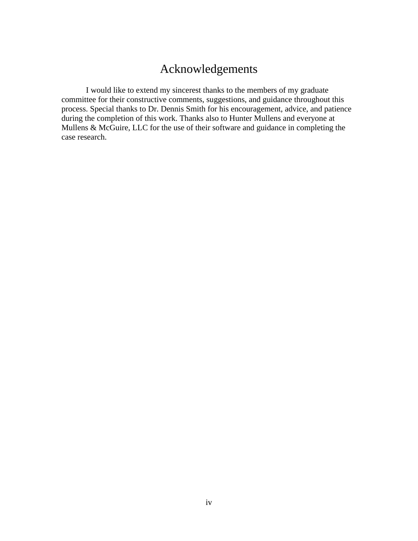## Acknowledgements

I would like to extend my sincerest thanks to the members of my graduate committee for their constructive comments, suggestions, and guidance throughout this process. Special thanks to Dr. Dennis Smith for his encouragement, advice, and patience during the completion of this work. Thanks also to Hunter Mullens and everyone at Mullens & McGuire, LLC for the use of their software and guidance in completing the case research.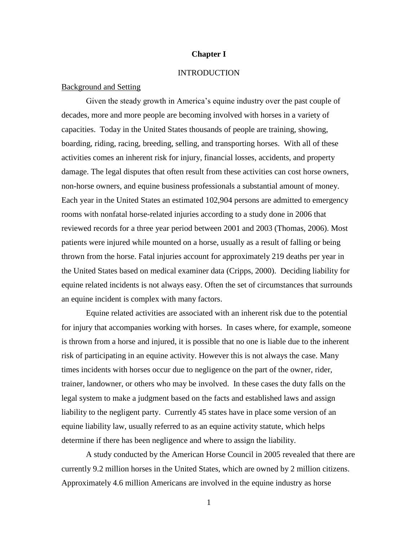#### **Chapter I**

#### **INTRODUCTION**

#### Background and Setting

Given the steady growth in America's equine industry over the past couple of decades, more and more people are becoming involved with horses in a variety of capacities. Today in the United States thousands of people are training, showing, boarding, riding, racing, breeding, selling, and transporting horses. With all of these activities comes an inherent risk for injury, financial losses, accidents, and property damage. The legal disputes that often result from these activities can cost horse owners, non-horse owners, and equine business professionals a substantial amount of money. Each year in the United States an estimated 102,904 persons are admitted to emergency rooms with nonfatal horse-related injuries according to a study done in 2006 that reviewed records for a three year period between 2001 and 2003 (Thomas, 2006). Most patients were injured while mounted on a horse, usually as a result of falling or being thrown from the horse. Fatal injuries account for approximately 219 deaths per year in the United States based on medical examiner data (Cripps, 2000). Deciding liability for equine related incidents is not always easy. Often the set of circumstances that surrounds an equine incident is complex with many factors.

Equine related activities are associated with an inherent risk due to the potential for injury that accompanies working with horses. In cases where, for example, someone is thrown from a horse and injured, it is possible that no one is liable due to the inherent risk of participating in an equine activity. However this is not always the case. Many times incidents with horses occur due to negligence on the part of the owner, rider, trainer, landowner, or others who may be involved. In these cases the duty falls on the legal system to make a judgment based on the facts and established laws and assign liability to the negligent party. Currently 45 states have in place some version of an equine liability law, usually referred to as an equine activity statute, which helps determine if there has been negligence and where to assign the liability.

A study conducted by the American Horse Council in 2005 revealed that there are currently 9.2 million horses in the United States, which are owned by 2 million citizens. Approximately 4.6 million Americans are involved in the equine industry as horse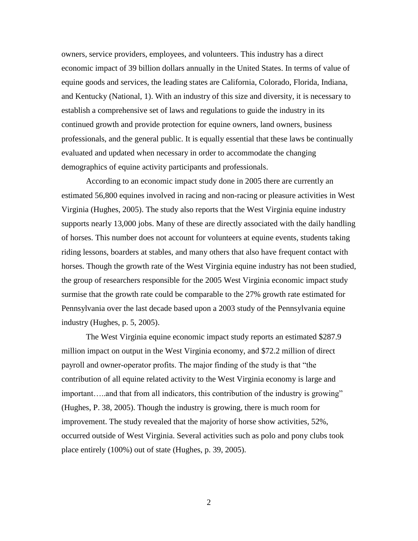owners, service providers, employees, and volunteers. This industry has a direct economic impact of 39 billion dollars annually in the United States. In terms of value of equine goods and services, the leading states are California, Colorado, Florida, Indiana, and Kentucky (National, 1). With an industry of this size and diversity, it is necessary to establish a comprehensive set of laws and regulations to guide the industry in its continued growth and provide protection for equine owners, land owners, business professionals, and the general public. It is equally essential that these laws be continually evaluated and updated when necessary in order to accommodate the changing demographics of equine activity participants and professionals.

According to an economic impact study done in 2005 there are currently an estimated 56,800 equines involved in racing and non-racing or pleasure activities in West Virginia (Hughes, 2005). The study also reports that the West Virginia equine industry supports nearly 13,000 jobs. Many of these are directly associated with the daily handling of horses. This number does not account for volunteers at equine events, students taking riding lessons, boarders at stables, and many others that also have frequent contact with horses. Though the growth rate of the West Virginia equine industry has not been studied, the group of researchers responsible for the 2005 West Virginia economic impact study surmise that the growth rate could be comparable to the 27% growth rate estimated for Pennsylvania over the last decade based upon a 2003 study of the Pennsylvania equine industry (Hughes, p. 5, 2005).

The West Virginia equine economic impact study reports an estimated \$287.9 million impact on output in the West Virginia economy, and \$72.2 million of direct payroll and owner-operator profits. The major finding of the study is that "the contribution of all equine related activity to the West Virginia economy is large and important…..and that from all indicators, this contribution of the industry is growing" (Hughes, P. 38, 2005). Though the industry is growing, there is much room for improvement. The study revealed that the majority of horse show activities, 52%, occurred outside of West Virginia. Several activities such as polo and pony clubs took place entirely (100%) out of state (Hughes, p. 39, 2005).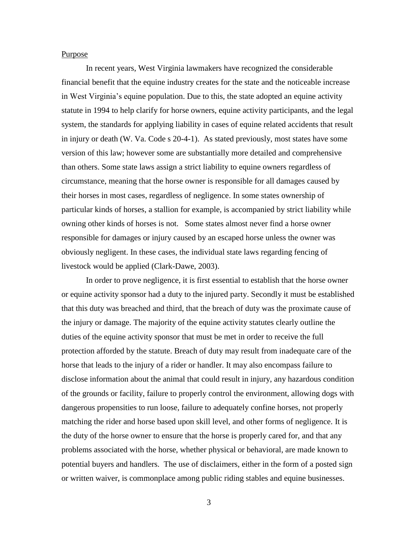#### Purpose

In recent years, West Virginia lawmakers have recognized the considerable financial benefit that the equine industry creates for the state and the noticeable increase in West Virginia"s equine population. Due to this, the state adopted an equine activity statute in 1994 to help clarify for horse owners, equine activity participants, and the legal system, the standards for applying liability in cases of equine related accidents that result in injury or death (W. Va. Code s 20-4-1). As stated previously, most states have some version of this law; however some are substantially more detailed and comprehensive than others. Some state laws assign a strict liability to equine owners regardless of circumstance, meaning that the horse owner is responsible for all damages caused by their horses in most cases, regardless of negligence. In some states ownership of particular kinds of horses, a stallion for example, is accompanied by strict liability while owning other kinds of horses is not. Some states almost never find a horse owner responsible for damages or injury caused by an escaped horse unless the owner was obviously negligent. In these cases, the individual state laws regarding fencing of livestock would be applied (Clark-Dawe, 2003).

In order to prove negligence, it is first essential to establish that the horse owner or equine activity sponsor had a duty to the injured party. Secondly it must be established that this duty was breached and third, that the breach of duty was the proximate cause of the injury or damage. The majority of the equine activity statutes clearly outline the duties of the equine activity sponsor that must be met in order to receive the full protection afforded by the statute. Breach of duty may result from inadequate care of the horse that leads to the injury of a rider or handler. It may also encompass failure to disclose information about the animal that could result in injury, any hazardous condition of the grounds or facility, failure to properly control the environment, allowing dogs with dangerous propensities to run loose, failure to adequately confine horses, not properly matching the rider and horse based upon skill level, and other forms of negligence. It is the duty of the horse owner to ensure that the horse is properly cared for, and that any problems associated with the horse, whether physical or behavioral, are made known to potential buyers and handlers. The use of disclaimers, either in the form of a posted sign or written waiver, is commonplace among public riding stables and equine businesses.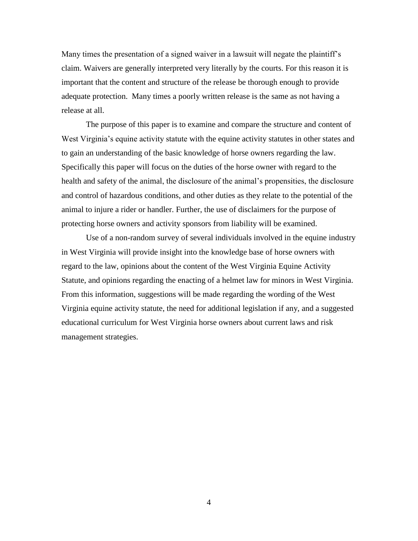Many times the presentation of a signed waiver in a lawsuit will negate the plaintiff"s claim. Waivers are generally interpreted very literally by the courts. For this reason it is important that the content and structure of the release be thorough enough to provide adequate protection. Many times a poorly written release is the same as not having a release at all.

The purpose of this paper is to examine and compare the structure and content of West Virginia's equine activity statute with the equine activity statutes in other states and to gain an understanding of the basic knowledge of horse owners regarding the law. Specifically this paper will focus on the duties of the horse owner with regard to the health and safety of the animal, the disclosure of the animal"s propensities, the disclosure and control of hazardous conditions, and other duties as they relate to the potential of the animal to injure a rider or handler. Further, the use of disclaimers for the purpose of protecting horse owners and activity sponsors from liability will be examined.

Use of a non-random survey of several individuals involved in the equine industry in West Virginia will provide insight into the knowledge base of horse owners with regard to the law, opinions about the content of the West Virginia Equine Activity Statute, and opinions regarding the enacting of a helmet law for minors in West Virginia. From this information, suggestions will be made regarding the wording of the West Virginia equine activity statute, the need for additional legislation if any, and a suggested educational curriculum for West Virginia horse owners about current laws and risk management strategies.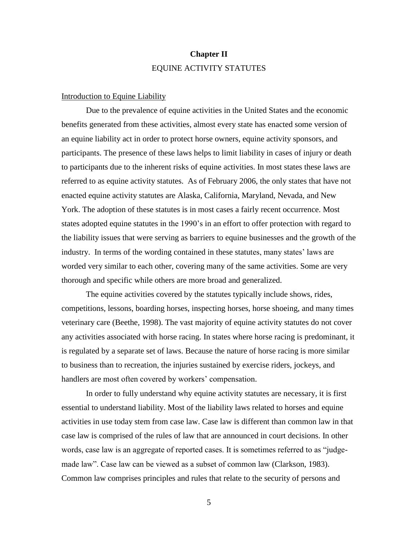## **Chapter II** EQUINE ACTIVITY STATUTES

#### Introduction to Equine Liability

Due to the prevalence of equine activities in the United States and the economic benefits generated from these activities, almost every state has enacted some version of an equine liability act in order to protect horse owners, equine activity sponsors, and participants. The presence of these laws helps to limit liability in cases of injury or death to participants due to the inherent risks of equine activities. In most states these laws are referred to as equine activity statutes. As of February 2006, the only states that have not enacted equine activity statutes are Alaska, California, Maryland, Nevada, and New York. The adoption of these statutes is in most cases a fairly recent occurrence. Most states adopted equine statutes in the 1990"s in an effort to offer protection with regard to the liability issues that were serving as barriers to equine businesses and the growth of the industry. In terms of the wording contained in these statutes, many states' laws are worded very similar to each other, covering many of the same activities. Some are very thorough and specific while others are more broad and generalized.

The equine activities covered by the statutes typically include shows, rides, competitions, lessons, boarding horses, inspecting horses, horse shoeing, and many times veterinary care (Beethe, 1998). The vast majority of equine activity statutes do not cover any activities associated with horse racing. In states where horse racing is predominant, it is regulated by a separate set of laws. Because the nature of horse racing is more similar to business than to recreation, the injuries sustained by exercise riders, jockeys, and handlers are most often covered by workers' compensation.

In order to fully understand why equine activity statutes are necessary, it is first essential to understand liability. Most of the liability laws related to horses and equine activities in use today stem from case law. Case law is different than common law in that case law is comprised of the rules of law that are announced in court decisions. In other words, case law is an aggregate of reported cases. It is sometimes referred to as "judgemade law". Case law can be viewed as a subset of common law (Clarkson, 1983). Common law comprises principles and rules that relate to the security of persons and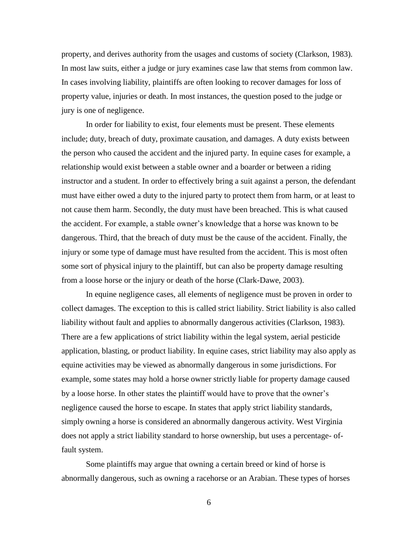property, and derives authority from the usages and customs of society (Clarkson, 1983). In most law suits, either a judge or jury examines case law that stems from common law. In cases involving liability, plaintiffs are often looking to recover damages for loss of property value, injuries or death. In most instances, the question posed to the judge or jury is one of negligence.

In order for liability to exist, four elements must be present. These elements include; duty, breach of duty, proximate causation, and damages. A duty exists between the person who caused the accident and the injured party. In equine cases for example, a relationship would exist between a stable owner and a boarder or between a riding instructor and a student. In order to effectively bring a suit against a person, the defendant must have either owed a duty to the injured party to protect them from harm, or at least to not cause them harm. Secondly, the duty must have been breached. This is what caused the accident. For example, a stable owner"s knowledge that a horse was known to be dangerous. Third, that the breach of duty must be the cause of the accident. Finally, the injury or some type of damage must have resulted from the accident. This is most often some sort of physical injury to the plaintiff, but can also be property damage resulting from a loose horse or the injury or death of the horse (Clark-Dawe, 2003).

In equine negligence cases, all elements of negligence must be proven in order to collect damages. The exception to this is called strict liability. Strict liability is also called liability without fault and applies to abnormally dangerous activities (Clarkson, 1983). There are a few applications of strict liability within the legal system, aerial pesticide application, blasting, or product liability. In equine cases, strict liability may also apply as equine activities may be viewed as abnormally dangerous in some jurisdictions. For example, some states may hold a horse owner strictly liable for property damage caused by a loose horse. In other states the plaintiff would have to prove that the owner"s negligence caused the horse to escape. In states that apply strict liability standards, simply owning a horse is considered an abnormally dangerous activity. West Virginia does not apply a strict liability standard to horse ownership, but uses a percentage- offault system.

Some plaintiffs may argue that owning a certain breed or kind of horse is abnormally dangerous, such as owning a racehorse or an Arabian. These types of horses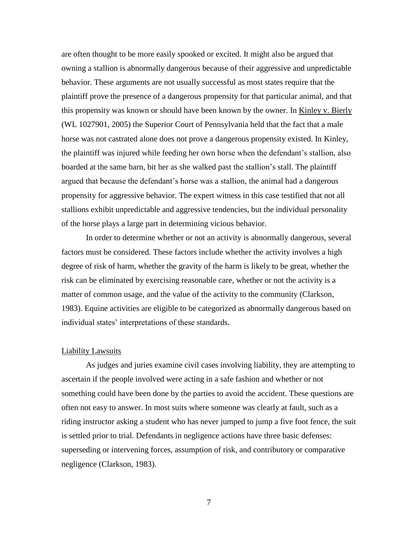are often thought to be more easily spooked or excited. It might also be argued that owning a stallion is abnormally dangerous because of their aggressive and unpredictable behavior. These arguments are not usually successful as most states require that the plaintiff prove the presence of a dangerous propensity for that particular animal, and that this propensity was known or should have been known by the owner. In Kinley v. Bierly (WL 1027901, 2005) the Superior Court of Pennsylvania held that the fact that a male horse was not castrated alone does not prove a dangerous propensity existed. In Kinley, the plaintiff was injured while feeding her own horse when the defendant"s stallion, also boarded at the same barn, bit her as she walked past the stallion"s stall. The plaintiff argued that because the defendant"s horse was a stallion, the animal had a dangerous propensity for aggressive behavior. The expert witness in this case testified that not all stallions exhibit unpredictable and aggressive tendencies, but the individual personality of the horse plays a large part in determining vicious behavior.

In order to determine whether or not an activity is abnormally dangerous, several factors must be considered. These factors include whether the activity involves a high degree of risk of harm, whether the gravity of the harm is likely to be great, whether the risk can be eliminated by exercising reasonable care, whether or not the activity is a matter of common usage, and the value of the activity to the community (Clarkson, 1983). Equine activities are eligible to be categorized as abnormally dangerous based on individual states' interpretations of these standards.

#### Liability Lawsuits

As judges and juries examine civil cases involving liability, they are attempting to ascertain if the people involved were acting in a safe fashion and whether or not something could have been done by the parties to avoid the accident. These questions are often not easy to answer. In most suits where someone was clearly at fault, such as a riding instructor asking a student who has never jumped to jump a five foot fence, the suit is settled prior to trial. Defendants in negligence actions have three basic defenses: superseding or intervening forces, assumption of risk, and contributory or comparative negligence (Clarkson, 1983).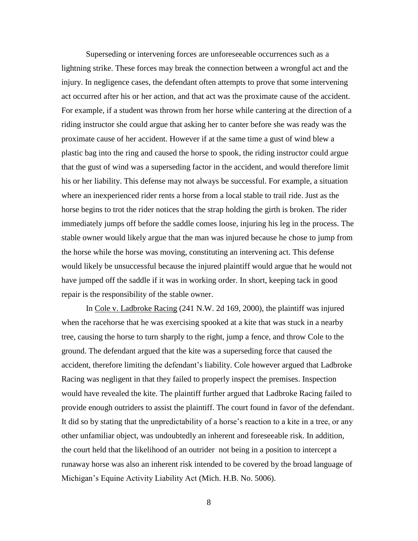Superseding or intervening forces are unforeseeable occurrences such as a lightning strike. These forces may break the connection between a wrongful act and the injury. In negligence cases, the defendant often attempts to prove that some intervening act occurred after his or her action, and that act was the proximate cause of the accident. For example, if a student was thrown from her horse while cantering at the direction of a riding instructor she could argue that asking her to canter before she was ready was the proximate cause of her accident. However if at the same time a gust of wind blew a plastic bag into the ring and caused the horse to spook, the riding instructor could argue that the gust of wind was a superseding factor in the accident, and would therefore limit his or her liability. This defense may not always be successful. For example, a situation where an inexperienced rider rents a horse from a local stable to trail ride. Just as the horse begins to trot the rider notices that the strap holding the girth is broken. The rider immediately jumps off before the saddle comes loose, injuring his leg in the process. The stable owner would likely argue that the man was injured because he chose to jump from the horse while the horse was moving, constituting an intervening act. This defense would likely be unsuccessful because the injured plaintiff would argue that he would not have jumped off the saddle if it was in working order. In short, keeping tack in good repair is the responsibility of the stable owner.

In Cole v. Ladbroke Racing (241 N.W. 2d 169, 2000), the plaintiff was injured when the racehorse that he was exercising spooked at a kite that was stuck in a nearby tree, causing the horse to turn sharply to the right, jump a fence, and throw Cole to the ground. The defendant argued that the kite was a superseding force that caused the accident, therefore limiting the defendant"s liability. Cole however argued that Ladbroke Racing was negligent in that they failed to properly inspect the premises. Inspection would have revealed the kite. The plaintiff further argued that Ladbroke Racing failed to provide enough outriders to assist the plaintiff. The court found in favor of the defendant. It did so by stating that the unpredictability of a horse's reaction to a kite in a tree, or any other unfamiliar object, was undoubtedly an inherent and foreseeable risk. In addition, the court held that the likelihood of an outrider not being in a position to intercept a runaway horse was also an inherent risk intended to be covered by the broad language of Michigan"s Equine Activity Liability Act (Mich. H.B. No. 5006).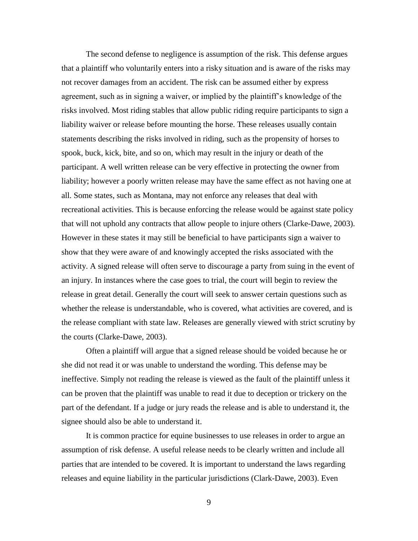The second defense to negligence is assumption of the risk. This defense argues that a plaintiff who voluntarily enters into a risky situation and is aware of the risks may not recover damages from an accident. The risk can be assumed either by express agreement, such as in signing a waiver, or implied by the plaintiff"s knowledge of the risks involved. Most riding stables that allow public riding require participants to sign a liability waiver or release before mounting the horse. These releases usually contain statements describing the risks involved in riding, such as the propensity of horses to spook, buck, kick, bite, and so on, which may result in the injury or death of the participant. A well written release can be very effective in protecting the owner from liability; however a poorly written release may have the same effect as not having one at all. Some states, such as Montana, may not enforce any releases that deal with recreational activities. This is because enforcing the release would be against state policy that will not uphold any contracts that allow people to injure others (Clarke-Dawe, 2003). However in these states it may still be beneficial to have participants sign a waiver to show that they were aware of and knowingly accepted the risks associated with the activity. A signed release will often serve to discourage a party from suing in the event of an injury. In instances where the case goes to trial, the court will begin to review the release in great detail. Generally the court will seek to answer certain questions such as whether the release is understandable, who is covered, what activities are covered, and is the release compliant with state law. Releases are generally viewed with strict scrutiny by the courts (Clarke-Dawe, 2003).

Often a plaintiff will argue that a signed release should be voided because he or she did not read it or was unable to understand the wording. This defense may be ineffective. Simply not reading the release is viewed as the fault of the plaintiff unless it can be proven that the plaintiff was unable to read it due to deception or trickery on the part of the defendant. If a judge or jury reads the release and is able to understand it, the signee should also be able to understand it.

It is common practice for equine businesses to use releases in order to argue an assumption of risk defense. A useful release needs to be clearly written and include all parties that are intended to be covered. It is important to understand the laws regarding releases and equine liability in the particular jurisdictions (Clark-Dawe, 2003). Even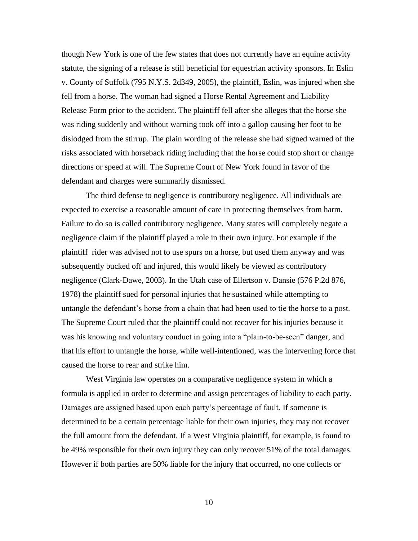though New York is one of the few states that does not currently have an equine activity statute, the signing of a release is still beneficial for equestrian activity sponsors. In Eslin v. County of Suffolk (795 N.Y.S. 2d349, 2005), the plaintiff, Eslin, was injured when she fell from a horse. The woman had signed a Horse Rental Agreement and Liability Release Form prior to the accident. The plaintiff fell after she alleges that the horse she was riding suddenly and without warning took off into a gallop causing her foot to be dislodged from the stirrup. The plain wording of the release she had signed warned of the risks associated with horseback riding including that the horse could stop short or change directions or speed at will. The Supreme Court of New York found in favor of the defendant and charges were summarily dismissed.

The third defense to negligence is contributory negligence. All individuals are expected to exercise a reasonable amount of care in protecting themselves from harm. Failure to do so is called contributory negligence. Many states will completely negate a negligence claim if the plaintiff played a role in their own injury. For example if the plaintiff rider was advised not to use spurs on a horse, but used them anyway and was subsequently bucked off and injured, this would likely be viewed as contributory negligence (Clark-Dawe, 2003). In the Utah case of Ellertson v. Dansie (576 P.2d 876, 1978) the plaintiff sued for personal injuries that he sustained while attempting to untangle the defendant"s horse from a chain that had been used to tie the horse to a post. The Supreme Court ruled that the plaintiff could not recover for his injuries because it was his knowing and voluntary conduct in going into a "plain-to-be-seen" danger, and that his effort to untangle the horse, while well-intentioned, was the intervening force that caused the horse to rear and strike him.

West Virginia law operates on a comparative negligence system in which a formula is applied in order to determine and assign percentages of liability to each party. Damages are assigned based upon each party"s percentage of fault. If someone is determined to be a certain percentage liable for their own injuries, they may not recover the full amount from the defendant. If a West Virginia plaintiff, for example, is found to be 49% responsible for their own injury they can only recover 51% of the total damages. However if both parties are 50% liable for the injury that occurred, no one collects or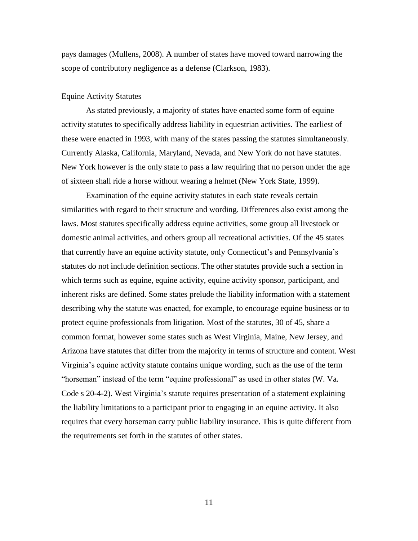pays damages (Mullens, 2008). A number of states have moved toward narrowing the scope of contributory negligence as a defense (Clarkson, 1983).

#### Equine Activity Statutes

As stated previously, a majority of states have enacted some form of equine activity statutes to specifically address liability in equestrian activities. The earliest of these were enacted in 1993, with many of the states passing the statutes simultaneously. Currently Alaska, California, Maryland, Nevada, and New York do not have statutes. New York however is the only state to pass a law requiring that no person under the age of sixteen shall ride a horse without wearing a helmet (New York State, 1999).

Examination of the equine activity statutes in each state reveals certain similarities with regard to their structure and wording. Differences also exist among the laws. Most statutes specifically address equine activities, some group all livestock or domestic animal activities, and others group all recreational activities. Of the 45 states that currently have an equine activity statute, only Connecticut"s and Pennsylvania"s statutes do not include definition sections. The other statutes provide such a section in which terms such as equine, equine activity, equine activity sponsor, participant, and inherent risks are defined. Some states prelude the liability information with a statement describing why the statute was enacted, for example, to encourage equine business or to protect equine professionals from litigation. Most of the statutes, 30 of 45, share a common format, however some states such as West Virginia, Maine, New Jersey, and Arizona have statutes that differ from the majority in terms of structure and content. West Virginia"s equine activity statute contains unique wording, such as the use of the term "horseman" instead of the term "equine professional" as used in other states (W. Va. Code s 20-4-2). West Virginia"s statute requires presentation of a statement explaining the liability limitations to a participant prior to engaging in an equine activity. It also requires that every horseman carry public liability insurance. This is quite different from the requirements set forth in the statutes of other states.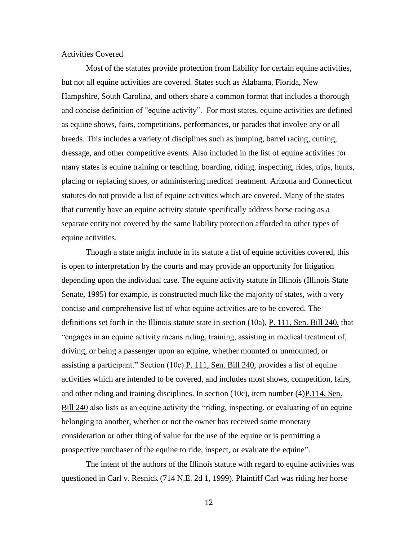#### Activities Covered

Most of the statutes provide protection from liability for certain equine activities, but not all equine activities are covered. States such as Alabama, Florida, New Hampshire, South Carolina, and others share a common format that includes a thorough and concise definition of "equine activity". For most states, equine activities are defined as equine shows, fairs, competitions, performances, or parades that involve any or all breeds. This includes a variety of disciplines such as jumping, barrel racing, cutting, dressage, and other competitive events. Also included in the list of equine activities for many states is equine training or teaching, boarding, riding, inspecting, rides, trips, hunts, placing or replacing shoes, or administering medical treatment. Arizona and Connecticut statutes do not provide a list of equine activities which are covered. Many of the states that currently have an equine activity statute specifically address horse racing as a separate entity not covered by the same liability protection afforded to other types of equine activities.

Though a state might include in its statute a list of equine activities covered, this is open to interpretation by the courts and may provide an opportunity for litigation depending upon the individual case. The equine activity statute in Illinois (Illinois State Senate, 1995) for example, is constructed much like the majority of states, with a very concise and comprehensive list of what equine activities are to be covered. The definitions set forth in the Illinois statute state in section (10a), P. 111, Sen. Bill 240, that "engages in an equine activity means riding, training, assisting in medical treatment of, driving, or being a passenger upon an equine, whether mounted or unmounted, or assisting a participant." Section (10c) P. 111, Sen. Bill 240, provides a list of equine activities which are intended to be covered, and includes most shows, competition, fairs, and other riding and training disciplines. In section (10c), item number  $(4)$ P.114, Sen. Bill 240 also lists as an equine activity the "riding, inspecting, or evaluating of an equine belonging to another, whether or not the owner has received some monetary consideration or other thing of value for the use of the equine or is permitting a prospective purchaser of the equine to ride, inspect, or evaluate the equine".

The intent of the authors of the Illinois statute with regard to equine activities was questioned in Carl v. Resnick (714 N.E. 2d 1, 1999). Plaintiff Carl was riding her horse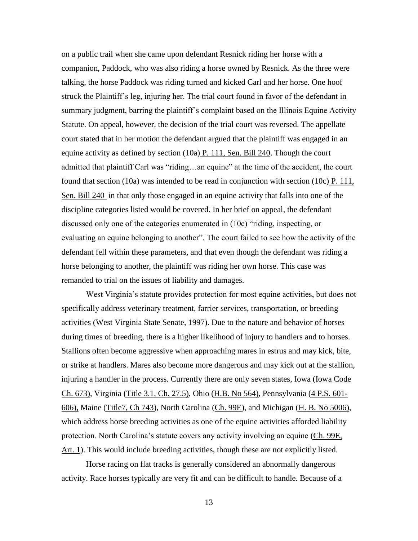on a public trail when she came upon defendant Resnick riding her horse with a companion, Paddock, who was also riding a horse owned by Resnick. As the three were talking, the horse Paddock was riding turned and kicked Carl and her horse. One hoof struck the Plaintiff"s leg, injuring her. The trial court found in favor of the defendant in summary judgment, barring the plaintiff's complaint based on the Illinois Equine Activity Statute. On appeal, however, the decision of the trial court was reversed. The appellate court stated that in her motion the defendant argued that the plaintiff was engaged in an equine activity as defined by section  $(10a)$  P. 111, Sen. Bill 240. Though the court admitted that plaintiff Carl was "riding…an equine" at the time of the accident, the court found that section (10a) was intended to be read in conjunction with section (10c)  $P$ . 111, Sen. Bill 240 in that only those engaged in an equine activity that falls into one of the discipline categories listed would be covered. In her brief on appeal, the defendant discussed only one of the categories enumerated in (10c) "riding, inspecting, or evaluating an equine belonging to another". The court failed to see how the activity of the defendant fell within these parameters, and that even though the defendant was riding a horse belonging to another, the plaintiff was riding her own horse. This case was remanded to trial on the issues of liability and damages.

West Virginia's statute provides protection for most equine activities, but does not specifically address veterinary treatment, farrier services, transportation, or breeding activities (West Virginia State Senate, 1997). Due to the nature and behavior of horses during times of breeding, there is a higher likelihood of injury to handlers and to horses. Stallions often become aggressive when approaching mares in estrus and may kick, bite, or strike at handlers. Mares also become more dangerous and may kick out at the stallion, injuring a handler in the process. Currently there are only seven states, Iowa (*Iowa Code* Ch. 673), Virginia (Title 3.1, Ch. 27.5), Ohio (H.B. No 564), Pennsylvania (4 P.S. 601- 606), Maine (Title7, Ch 743), North Carolina (Ch. 99E), and Michigan (H. B. No 5006), which address horse breeding activities as one of the equine activities afforded liability protection. North Carolina's statute covers any activity involving an equine (Ch. 99E, Art. 1). This would include breeding activities, though these are not explicitly listed.

Horse racing on flat tracks is generally considered an abnormally dangerous activity. Race horses typically are very fit and can be difficult to handle. Because of a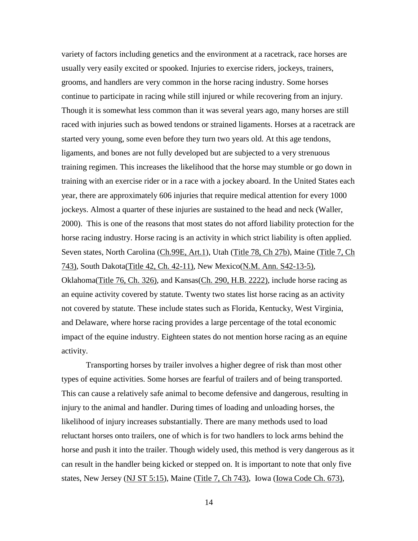variety of factors including genetics and the environment at a racetrack, race horses are usually very easily excited or spooked. Injuries to exercise riders, jockeys, trainers, grooms, and handlers are very common in the horse racing industry. Some horses continue to participate in racing while still injured or while recovering from an injury. Though it is somewhat less common than it was several years ago, many horses are still raced with injuries such as bowed tendons or strained ligaments. Horses at a racetrack are started very young, some even before they turn two years old. At this age tendons, ligaments, and bones are not fully developed but are subjected to a very strenuous training regimen. This increases the likelihood that the horse may stumble or go down in training with an exercise rider or in a race with a jockey aboard. In the United States each year, there are approximately 606 injuries that require medical attention for every 1000 jockeys. Almost a quarter of these injuries are sustained to the head and neck (Waller, 2000). This is one of the reasons that most states do not afford liability protection for the horse racing industry. Horse racing is an activity in which strict liability is often applied. Seven states, North Carolina (Ch.99E, Art.1), Utah (Title 78, Ch 27b), Maine (Title 7, Ch 743), South Dakota(Title 42, Ch. 42-11), New Mexico(N.M. Ann. S42-13-5), Oklahoma(Title 76, Ch. 326), and Kansas(Ch. 290, H.B. 2222), include horse racing as an equine activity covered by statute. Twenty two states list horse racing as an activity not covered by statute. These include states such as Florida, Kentucky, West Virginia, and Delaware, where horse racing provides a large percentage of the total economic impact of the equine industry. Eighteen states do not mention horse racing as an equine activity.

Transporting horses by trailer involves a higher degree of risk than most other types of equine activities. Some horses are fearful of trailers and of being transported. This can cause a relatively safe animal to become defensive and dangerous, resulting in injury to the animal and handler. During times of loading and unloading horses, the likelihood of injury increases substantially. There are many methods used to load reluctant horses onto trailers, one of which is for two handlers to lock arms behind the horse and push it into the trailer. Though widely used, this method is very dangerous as it can result in the handler being kicked or stepped on. It is important to note that only five states, New Jersey (NJ ST 5:15), Maine (Title 7, Ch 743), Iowa (Iowa Code Ch. 673),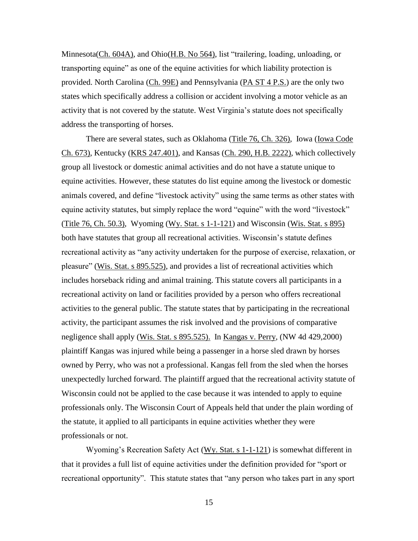Minnesota(Ch. 604A), and Ohio(H.B. No 564), list "trailering, loading, unloading, or transporting equine" as one of the equine activities for which liability protection is provided. North Carolina (Ch. 99E) and Pennsylvania (PA ST 4 P.S.) are the only two states which specifically address a collision or accident involving a motor vehicle as an activity that is not covered by the statute. West Virginia"s statute does not specifically address the transporting of horses.

There are several states, such as Oklahoma (Title 76, Ch. 326), Iowa (Iowa Code Ch. 673), Kentucky (KRS 247.401), and Kansas (Ch. 290, H.B. 2222), which collectively group all livestock or domestic animal activities and do not have a statute unique to equine activities. However, these statutes do list equine among the livestock or domestic animals covered, and define "livestock activity" using the same terms as other states with equine activity statutes, but simply replace the word "equine" with the word "livestock" (Title 76, Ch. 50.3), Wyoming (Wy. Stat. s 1-1-121) and Wisconsin (Wis. Stat. s 895) both have statutes that group all recreational activities. Wisconsin"s statute defines recreational activity as "any activity undertaken for the purpose of exercise, relaxation, or pleasure" (Wis. Stat. s 895.525), and provides a list of recreational activities which includes horseback riding and animal training. This statute covers all participants in a recreational activity on land or facilities provided by a person who offers recreational activities to the general public. The statute states that by participating in the recreational activity, the participant assumes the risk involved and the provisions of comparative negligence shall apply (Wis. Stat. s 895.525). In Kangas v. Perry, (NW 4d 429,2000) plaintiff Kangas was injured while being a passenger in a horse sled drawn by horses owned by Perry, who was not a professional. Kangas fell from the sled when the horses unexpectedly lurched forward. The plaintiff argued that the recreational activity statute of Wisconsin could not be applied to the case because it was intended to apply to equine professionals only. The Wisconsin Court of Appeals held that under the plain wording of the statute, it applied to all participants in equine activities whether they were professionals or not.

Wyoming"s Recreation Safety Act (Wy. Stat. s 1-1-121) is somewhat different in that it provides a full list of equine activities under the definition provided for "sport or recreational opportunity". This statute states that "any person who takes part in any sport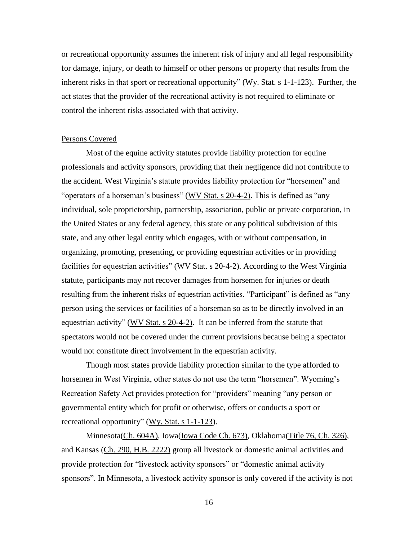or recreational opportunity assumes the inherent risk of injury and all legal responsibility for damage, injury, or death to himself or other persons or property that results from the inherent risks in that sport or recreational opportunity" ( $Wy$ , Stat. s 1-1-123). Further, the act states that the provider of the recreational activity is not required to eliminate or control the inherent risks associated with that activity.

#### Persons Covered

Most of the equine activity statutes provide liability protection for equine professionals and activity sponsors, providing that their negligence did not contribute to the accident. West Virginia"s statute provides liability protection for "horsemen" and "operators of a horseman"s business" (WV Stat. s 20-4-2). This is defined as "any individual, sole proprietorship, partnership, association, public or private corporation, in the United States or any federal agency, this state or any political subdivision of this state, and any other legal entity which engages, with or without compensation, in organizing, promoting, presenting, or providing equestrian activities or in providing facilities for equestrian activities" (WV Stat. s 20-4-2). According to the West Virginia statute, participants may not recover damages from horsemen for injuries or death resulting from the inherent risks of equestrian activities. "Participant" is defined as "any person using the services or facilities of a horseman so as to be directly involved in an equestrian activity" (WV Stat. s 20-4-2). It can be inferred from the statute that spectators would not be covered under the current provisions because being a spectator would not constitute direct involvement in the equestrian activity.

Though most states provide liability protection similar to the type afforded to horsemen in West Virginia, other states do not use the term "horsemen". Wyoming's Recreation Safety Act provides protection for "providers" meaning "any person or governmental entity which for profit or otherwise, offers or conducts a sport or recreational opportunity" (Wy. Stat. s 1-1-123).

Minnesota(Ch. 604A), Iowa(Iowa Code Ch. 673), Oklahoma(Title 76, Ch. 326), and Kansas (Ch. 290, H.B. 2222) group all livestock or domestic animal activities and provide protection for "livestock activity sponsors" or "domestic animal activity sponsors". In Minnesota, a livestock activity sponsor is only covered if the activity is not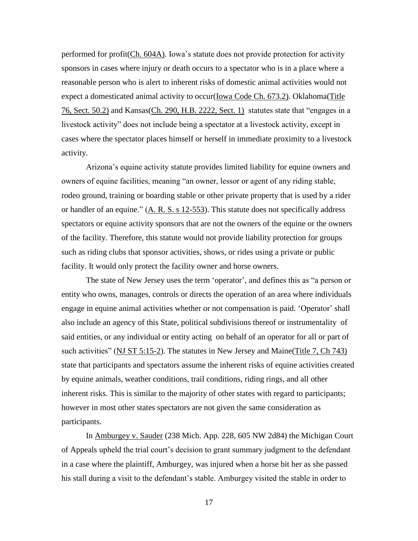performed for profit(Ch. 604A). Iowa"s statute does not provide protection for activity sponsors in cases where injury or death occurs to a spectator who is in a place where a reasonable person who is alert to inherent risks of domestic animal activities would not expect a domesticated animal activity to occur(Iowa Code Ch. 673.2). Oklahoma(Title 76, Sect. 50.2) and Kansas(Ch. 290, H.B. 2222, Sect. 1) statutes state that "engages in a livestock activity" does not include being a spectator at a livestock activity, except in cases where the spectator places himself or herself in immediate proximity to a livestock activity.

Arizona"s equine activity statute provides limited liability for equine owners and owners of equine facilities, meaning "an owner, lessor or agent of any riding stable, rodeo ground, training or boarding stable or other private property that is used by a rider or handler of an equine." (A. R. S. s 12-553). This statute does not specifically address spectators or equine activity sponsors that are not the owners of the equine or the owners of the facility. Therefore, this statute would not provide liability protection for groups such as riding clubs that sponsor activities, shows, or rides using a private or public facility. It would only protect the facility owner and horse owners.

The state of New Jersey uses the term 'operator', and defines this as "a person or entity who owns, manages, controls or directs the operation of an area where individuals engage in equine animal activities whether or not compensation is paid. "Operator" shall also include an agency of this State, political subdivisions thereof or instrumentality of said entities, or any individual or entity acting on behalf of an operator for all or part of such activities" (NJ ST 5:15-2). The statutes in New Jersey and Maine (Title 7, Ch 743) state that participants and spectators assume the inherent risks of equine activities created by equine animals, weather conditions, trail conditions, riding rings, and all other inherent risks. This is similar to the majority of other states with regard to participants; however in most other states spectators are not given the same consideration as participants.

In Amburgey v. Sauder (238 Mich. App. 228, 605 NW 2d84) the Michigan Court of Appeals upheld the trial court"s decision to grant summary judgment to the defendant in a case where the plaintiff, Amburgey, was injured when a horse bit her as she passed his stall during a visit to the defendant"s stable. Amburgey visited the stable in order to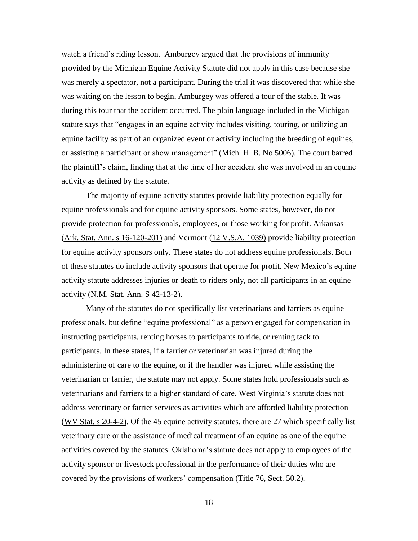watch a friend's riding lesson. Amburgey argued that the provisions of immunity provided by the Michigan Equine Activity Statute did not apply in this case because she was merely a spectator, not a participant. During the trial it was discovered that while she was waiting on the lesson to begin, Amburgey was offered a tour of the stable. It was during this tour that the accident occurred. The plain language included in the Michigan statute says that "engages in an equine activity includes visiting, touring, or utilizing an equine facility as part of an organized event or activity including the breeding of equines, or assisting a participant or show management" (Mich. H. B. No 5006). The court barred the plaintiff"s claim, finding that at the time of her accident she was involved in an equine activity as defined by the statute.

The majority of equine activity statutes provide liability protection equally for equine professionals and for equine activity sponsors. Some states, however, do not provide protection for professionals, employees, or those working for profit. Arkansas (Ark. Stat. Ann. s 16-120-201) and Vermont (12 V.S.A. 1039) provide liability protection for equine activity sponsors only. These states do not address equine professionals. Both of these statutes do include activity sponsors that operate for profit. New Mexico"s equine activity statute addresses injuries or death to riders only, not all participants in an equine activity (N.M. Stat. Ann. S 42-13-2).

Many of the statutes do not specifically list veterinarians and farriers as equine professionals, but define "equine professional" as a person engaged for compensation in instructing participants, renting horses to participants to ride, or renting tack to participants. In these states, if a farrier or veterinarian was injured during the administering of care to the equine, or if the handler was injured while assisting the veterinarian or farrier, the statute may not apply. Some states hold professionals such as veterinarians and farriers to a higher standard of care. West Virginia"s statute does not address veterinary or farrier services as activities which are afforded liability protection (WV Stat. s 20-4-2). Of the 45 equine activity statutes, there are 27 which specifically list veterinary care or the assistance of medical treatment of an equine as one of the equine activities covered by the statutes. Oklahoma"s statute does not apply to employees of the activity sponsor or livestock professional in the performance of their duties who are covered by the provisions of workers" compensation (Title 76, Sect. 50.2).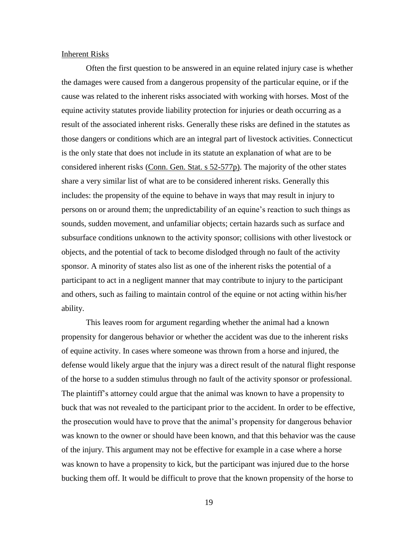#### Inherent Risks

Often the first question to be answered in an equine related injury case is whether the damages were caused from a dangerous propensity of the particular equine, or if the cause was related to the inherent risks associated with working with horses. Most of the equine activity statutes provide liability protection for injuries or death occurring as a result of the associated inherent risks. Generally these risks are defined in the statutes as those dangers or conditions which are an integral part of livestock activities. Connecticut is the only state that does not include in its statute an explanation of what are to be considered inherent risks (Conn. Gen. Stat. s 52-577p). The majority of the other states share a very similar list of what are to be considered inherent risks. Generally this includes: the propensity of the equine to behave in ways that may result in injury to persons on or around them; the unpredictability of an equine"s reaction to such things as sounds, sudden movement, and unfamiliar objects; certain hazards such as surface and subsurface conditions unknown to the activity sponsor; collisions with other livestock or objects, and the potential of tack to become dislodged through no fault of the activity sponsor. A minority of states also list as one of the inherent risks the potential of a participant to act in a negligent manner that may contribute to injury to the participant and others, such as failing to maintain control of the equine or not acting within his/her ability.

This leaves room for argument regarding whether the animal had a known propensity for dangerous behavior or whether the accident was due to the inherent risks of equine activity. In cases where someone was thrown from a horse and injured, the defense would likely argue that the injury was a direct result of the natural flight response of the horse to a sudden stimulus through no fault of the activity sponsor or professional. The plaintiff"s attorney could argue that the animal was known to have a propensity to buck that was not revealed to the participant prior to the accident. In order to be effective, the prosecution would have to prove that the animal"s propensity for dangerous behavior was known to the owner or should have been known, and that this behavior was the cause of the injury. This argument may not be effective for example in a case where a horse was known to have a propensity to kick, but the participant was injured due to the horse bucking them off. It would be difficult to prove that the known propensity of the horse to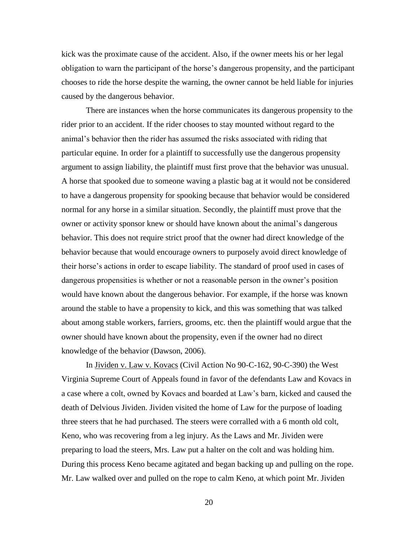kick was the proximate cause of the accident. Also, if the owner meets his or her legal obligation to warn the participant of the horse"s dangerous propensity, and the participant chooses to ride the horse despite the warning, the owner cannot be held liable for injuries caused by the dangerous behavior.

There are instances when the horse communicates its dangerous propensity to the rider prior to an accident. If the rider chooses to stay mounted without regard to the animal"s behavior then the rider has assumed the risks associated with riding that particular equine. In order for a plaintiff to successfully use the dangerous propensity argument to assign liability, the plaintiff must first prove that the behavior was unusual. A horse that spooked due to someone waving a plastic bag at it would not be considered to have a dangerous propensity for spooking because that behavior would be considered normal for any horse in a similar situation. Secondly, the plaintiff must prove that the owner or activity sponsor knew or should have known about the animal"s dangerous behavior. This does not require strict proof that the owner had direct knowledge of the behavior because that would encourage owners to purposely avoid direct knowledge of their horse"s actions in order to escape liability. The standard of proof used in cases of dangerous propensities is whether or not a reasonable person in the owner"s position would have known about the dangerous behavior. For example, if the horse was known around the stable to have a propensity to kick, and this was something that was talked about among stable workers, farriers, grooms, etc. then the plaintiff would argue that the owner should have known about the propensity, even if the owner had no direct knowledge of the behavior (Dawson, 2006).

In Jividen v. Law v. Kovacs (Civil Action No 90-C-162, 90-C-390) the West Virginia Supreme Court of Appeals found in favor of the defendants Law and Kovacs in a case where a colt, owned by Kovacs and boarded at Law"s barn, kicked and caused the death of Delvious Jividen. Jividen visited the home of Law for the purpose of loading three steers that he had purchased. The steers were corralled with a 6 month old colt, Keno, who was recovering from a leg injury. As the Laws and Mr. Jividen were preparing to load the steers, Mrs. Law put a halter on the colt and was holding him. During this process Keno became agitated and began backing up and pulling on the rope. Mr. Law walked over and pulled on the rope to calm Keno, at which point Mr. Jividen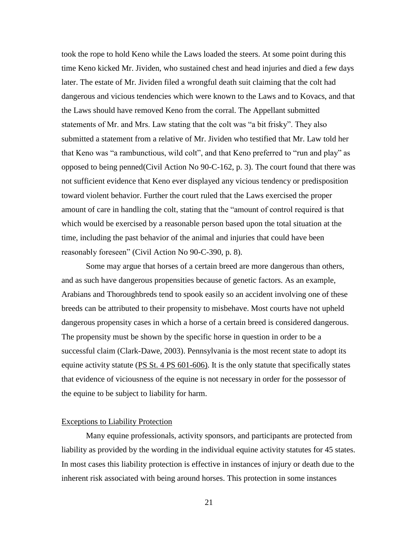took the rope to hold Keno while the Laws loaded the steers. At some point during this time Keno kicked Mr. Jividen, who sustained chest and head injuries and died a few days later. The estate of Mr. Jividen filed a wrongful death suit claiming that the colt had dangerous and vicious tendencies which were known to the Laws and to Kovacs, and that the Laws should have removed Keno from the corral. The Appellant submitted statements of Mr. and Mrs. Law stating that the colt was "a bit frisky". They also submitted a statement from a relative of Mr. Jividen who testified that Mr. Law told her that Keno was "a rambunctious, wild colt", and that Keno preferred to "run and play" as opposed to being penned(Civil Action No 90-C-162, p. 3). The court found that there was not sufficient evidence that Keno ever displayed any vicious tendency or predisposition toward violent behavior. Further the court ruled that the Laws exercised the proper amount of care in handling the colt, stating that the "amount of control required is that which would be exercised by a reasonable person based upon the total situation at the time, including the past behavior of the animal and injuries that could have been reasonably foreseen" (Civil Action No 90-C-390, p. 8).

Some may argue that horses of a certain breed are more dangerous than others, and as such have dangerous propensities because of genetic factors. As an example, Arabians and Thoroughbreds tend to spook easily so an accident involving one of these breeds can be attributed to their propensity to misbehave. Most courts have not upheld dangerous propensity cases in which a horse of a certain breed is considered dangerous. The propensity must be shown by the specific horse in question in order to be a successful claim (Clark-Dawe, 2003). Pennsylvania is the most recent state to adopt its equine activity statute (PS St. 4 PS 601-606). It is the only statute that specifically states that evidence of viciousness of the equine is not necessary in order for the possessor of the equine to be subject to liability for harm.

#### Exceptions to Liability Protection

Many equine professionals, activity sponsors, and participants are protected from liability as provided by the wording in the individual equine activity statutes for 45 states. In most cases this liability protection is effective in instances of injury or death due to the inherent risk associated with being around horses. This protection in some instances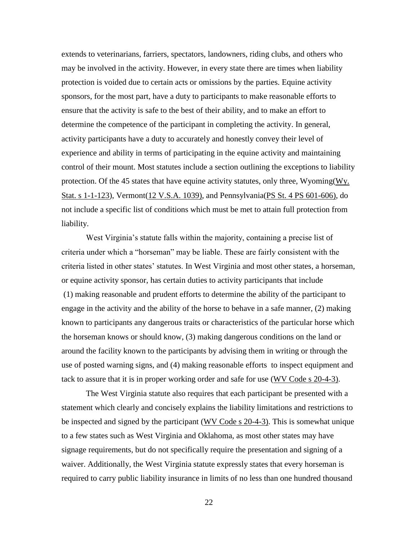extends to veterinarians, farriers, spectators, landowners, riding clubs, and others who may be involved in the activity. However, in every state there are times when liability protection is voided due to certain acts or omissions by the parties. Equine activity sponsors, for the most part, have a duty to participants to make reasonable efforts to ensure that the activity is safe to the best of their ability, and to make an effort to determine the competence of the participant in completing the activity. In general, activity participants have a duty to accurately and honestly convey their level of experience and ability in terms of participating in the equine activity and maintaining control of their mount. Most statutes include a section outlining the exceptions to liability protection. Of the 45 states that have equine activity statutes, only three, Wyoming $(Wy)$ . Stat. s 1-1-123), Vermont(12 V.S.A. 1039), and Pennsylvania(PS St. 4 PS 601-606), do not include a specific list of conditions which must be met to attain full protection from liability.

West Virginia's statute falls within the majority, containing a precise list of criteria under which a "horseman" may be liable. These are fairly consistent with the criteria listed in other states" statutes. In West Virginia and most other states, a horseman, or equine activity sponsor, has certain duties to activity participants that include (1) making reasonable and prudent efforts to determine the ability of the participant to engage in the activity and the ability of the horse to behave in a safe manner, (2) making known to participants any dangerous traits or characteristics of the particular horse which the horseman knows or should know, (3) making dangerous conditions on the land or around the facility known to the participants by advising them in writing or through the use of posted warning signs, and (4) making reasonable efforts to inspect equipment and tack to assure that it is in proper working order and safe for use (WV Code s 20-4-3).

The West Virginia statute also requires that each participant be presented with a statement which clearly and concisely explains the liability limitations and restrictions to be inspected and signed by the participant (WV Code s 20-4-3). This is somewhat unique to a few states such as West Virginia and Oklahoma, as most other states may have signage requirements, but do not specifically require the presentation and signing of a waiver. Additionally, the West Virginia statute expressly states that every horseman is required to carry public liability insurance in limits of no less than one hundred thousand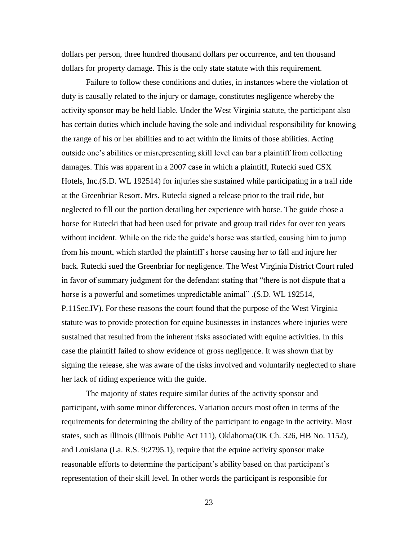dollars per person, three hundred thousand dollars per occurrence, and ten thousand dollars for property damage. This is the only state statute with this requirement.

Failure to follow these conditions and duties, in instances where the violation of duty is causally related to the injury or damage, constitutes negligence whereby the activity sponsor may be held liable. Under the West Virginia statute, the participant also has certain duties which include having the sole and individual responsibility for knowing the range of his or her abilities and to act within the limits of those abilities. Acting outside one's abilities or misrepresenting skill level can bar a plaintiff from collecting damages. This was apparent in a 2007 case in which a plaintiff, Rutecki sued CSX Hotels, Inc.(S.D. WL 192514) for injuries she sustained while participating in a trail ride at the Greenbriar Resort. Mrs. Rutecki signed a release prior to the trail ride, but neglected to fill out the portion detailing her experience with horse. The guide chose a horse for Rutecki that had been used for private and group trail rides for over ten years without incident. While on the ride the guide's horse was startled, causing him to jump from his mount, which startled the plaintiff"s horse causing her to fall and injure her back. Rutecki sued the Greenbriar for negligence. The West Virginia District Court ruled in favor of summary judgment for the defendant stating that "there is not dispute that a horse is a powerful and sometimes unpredictable animal" .(S.D. WL 192514, P.11Sec.IV). For these reasons the court found that the purpose of the West Virginia statute was to provide protection for equine businesses in instances where injuries were sustained that resulted from the inherent risks associated with equine activities. In this case the plaintiff failed to show evidence of gross negligence. It was shown that by signing the release, she was aware of the risks involved and voluntarily neglected to share her lack of riding experience with the guide.

The majority of states require similar duties of the activity sponsor and participant, with some minor differences. Variation occurs most often in terms of the requirements for determining the ability of the participant to engage in the activity. Most states, such as Illinois (Illinois Public Act 111), Oklahoma(OK Ch. 326, HB No. 1152), and Louisiana (La. R.S. 9:2795.1), require that the equine activity sponsor make reasonable efforts to determine the participant's ability based on that participant's representation of their skill level. In other words the participant is responsible for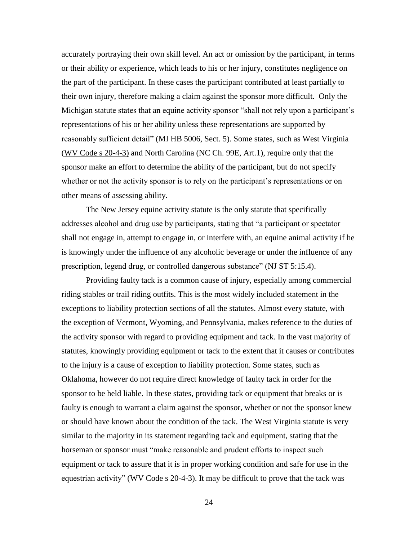accurately portraying their own skill level. An act or omission by the participant, in terms or their ability or experience, which leads to his or her injury, constitutes negligence on the part of the participant. In these cases the participant contributed at least partially to their own injury, therefore making a claim against the sponsor more difficult. Only the Michigan statute states that an equine activity sponsor "shall not rely upon a participant's representations of his or her ability unless these representations are supported by reasonably sufficient detail" (MI HB 5006, Sect. 5). Some states, such as West Virginia (WV Code s 20-4-3) and North Carolina (NC Ch. 99E, Art.1), require only that the sponsor make an effort to determine the ability of the participant, but do not specify whether or not the activity sponsor is to rely on the participant's representations or on other means of assessing ability.

The New Jersey equine activity statute is the only statute that specifically addresses alcohol and drug use by participants, stating that "a participant or spectator shall not engage in, attempt to engage in, or interfere with, an equine animal activity if he is knowingly under the influence of any alcoholic beverage or under the influence of any prescription, legend drug, or controlled dangerous substance" (NJ ST 5:15.4).

Providing faulty tack is a common cause of injury, especially among commercial riding stables or trail riding outfits. This is the most widely included statement in the exceptions to liability protection sections of all the statutes. Almost every statute, with the exception of Vermont, Wyoming, and Pennsylvania, makes reference to the duties of the activity sponsor with regard to providing equipment and tack. In the vast majority of statutes, knowingly providing equipment or tack to the extent that it causes or contributes to the injury is a cause of exception to liability protection. Some states, such as Oklahoma, however do not require direct knowledge of faulty tack in order for the sponsor to be held liable. In these states, providing tack or equipment that breaks or is faulty is enough to warrant a claim against the sponsor, whether or not the sponsor knew or should have known about the condition of the tack. The West Virginia statute is very similar to the majority in its statement regarding tack and equipment, stating that the horseman or sponsor must "make reasonable and prudent efforts to inspect such equipment or tack to assure that it is in proper working condition and safe for use in the equestrian activity" (WV Code s 20-4-3). It may be difficult to prove that the tack was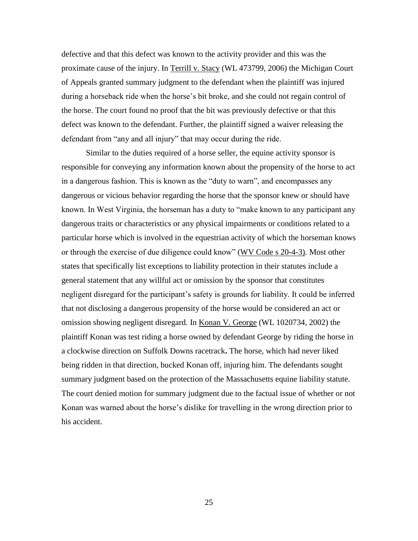defective and that this defect was known to the activity provider and this was the proximate cause of the injury. In Terrill v. Stacy (WL 473799, 2006) the Michigan Court of Appeals granted summary judgment to the defendant when the plaintiff was injured during a horseback ride when the horse's bit broke, and she could not regain control of the horse. The court found no proof that the bit was previously defective or that this defect was known to the defendant. Further, the plaintiff signed a waiver releasing the defendant from "any and all injury" that may occur during the ride.

Similar to the duties required of a horse seller, the equine activity sponsor is responsible for conveying any information known about the propensity of the horse to act in a dangerous fashion. This is known as the "duty to warn", and encompasses any dangerous or vicious behavior regarding the horse that the sponsor knew or should have known. In West Virginia, the horseman has a duty to "make known to any participant any dangerous traits or characteristics or any physical impairments or conditions related to a particular horse which is involved in the equestrian activity of which the horseman knows or through the exercise of due diligence could know" (WV Code s 20-4-3). Most other states that specifically list exceptions to liability protection in their statutes include a general statement that any willful act or omission by the sponsor that constitutes negligent disregard for the participant's safety is grounds for liability. It could be inferred that not disclosing a dangerous propensity of the horse would be considered an act or omission showing negligent disregard. In Konan V. George (WL 1020734, 2002) the plaintiff Konan was test riding a horse owned by defendant George by riding the horse in a clockwise direction on Suffolk Downs racetrack**.** The horse, which had never liked being ridden in that direction, bucked Konan off, injuring him. The defendants sought summary judgment based on the protection of the Massachusetts equine liability statute. The court denied motion for summary judgment due to the factual issue of whether or not Konan was warned about the horse"s dislike for travelling in the wrong direction prior to his accident.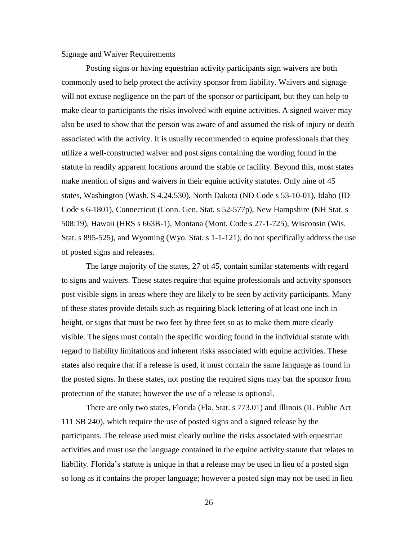#### Signage and Waiver Requirements

Posting signs or having equestrian activity participants sign waivers are both commonly used to help protect the activity sponsor from liability. Waivers and signage will not excuse negligence on the part of the sponsor or participant, but they can help to make clear to participants the risks involved with equine activities. A signed waiver may also be used to show that the person was aware of and assumed the risk of injury or death associated with the activity. It is usually recommended to equine professionals that they utilize a well-constructed waiver and post signs containing the wording found in the statute in readily apparent locations around the stable or facility. Beyond this, most states make mention of signs and waivers in their equine activity statutes. Only nine of 45 states, Washington (Wash. S 4.24.530), North Dakota (ND Code s 53-10-01), Idaho (ID Code s 6-1801), Connecticut (Conn. Gen. Stat. s 52-577p), New Hampshire (NH Stat. s 508:19), Hawaii (HRS s 663B-1), Montana (Mont. Code s 27-1-725), Wisconsin (Wis. Stat. s 895-525), and Wyoming (Wyo. Stat. s 1-1-121), do not specifically address the use of posted signs and releases.

The large majority of the states, 27 of 45, contain similar statements with regard to signs and waivers. These states require that equine professionals and activity sponsors post visible signs in areas where they are likely to be seen by activity participants. Many of these states provide details such as requiring black lettering of at least one inch in height, or signs that must be two feet by three feet so as to make them more clearly visible. The signs must contain the specific wording found in the individual statute with regard to liability limitations and inherent risks associated with equine activities. These states also require that if a release is used, it must contain the same language as found in the posted signs. In these states, not posting the required signs may bar the sponsor from protection of the statute; however the use of a release is optional.

There are only two states, Florida (Fla. Stat. s 773.01) and Illinois (IL Public Act 111 SB 240), which require the use of posted signs and a signed release by the participants. The release used must clearly outline the risks associated with equestrian activities and must use the language contained in the equine activity statute that relates to liability. Florida's statute is unique in that a release may be used in lieu of a posted sign so long as it contains the proper language; however a posted sign may not be used in lieu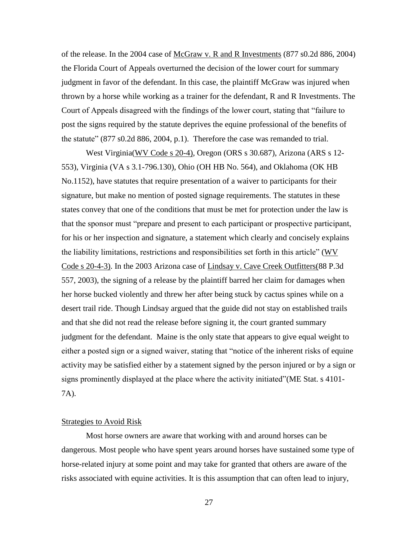of the release. In the 2004 case of McGraw v. R and R Investments (877 s0.2d 886, 2004) the Florida Court of Appeals overturned the decision of the lower court for summary judgment in favor of the defendant. In this case, the plaintiff McGraw was injured when thrown by a horse while working as a trainer for the defendant, R and R Investments. The Court of Appeals disagreed with the findings of the lower court, stating that "failure to post the signs required by the statute deprives the equine professional of the benefits of the statute" (877 s0.2d 886, 2004, p.1). Therefore the case was remanded to trial.

West Virginia(WV Code s 20-4), Oregon (ORS s 30.687), Arizona (ARS s 12- 553), Virginia (VA s 3.1-796.130), Ohio (OH HB No. 564), and Oklahoma (OK HB No.1152), have statutes that require presentation of a waiver to participants for their signature, but make no mention of posted signage requirements. The statutes in these states convey that one of the conditions that must be met for protection under the law is that the sponsor must "prepare and present to each participant or prospective participant, for his or her inspection and signature, a statement which clearly and concisely explains the liability limitations, restrictions and responsibilities set forth in this article" (WV Code s 20-4-3). In the 2003 Arizona case of Lindsay v. Cave Creek Outfitters(88 P.3d 557, 2003), the signing of a release by the plaintiff barred her claim for damages when her horse bucked violently and threw her after being stuck by cactus spines while on a desert trail ride. Though Lindsay argued that the guide did not stay on established trails and that she did not read the release before signing it, the court granted summary judgment for the defendant. Maine is the only state that appears to give equal weight to either a posted sign or a signed waiver, stating that "notice of the inherent risks of equine activity may be satisfied either by a statement signed by the person injured or by a sign or signs prominently displayed at the place where the activity initiated"(ME Stat. s 4101- 7A).

#### Strategies to Avoid Risk

Most horse owners are aware that working with and around horses can be dangerous. Most people who have spent years around horses have sustained some type of horse-related injury at some point and may take for granted that others are aware of the risks associated with equine activities. It is this assumption that can often lead to injury,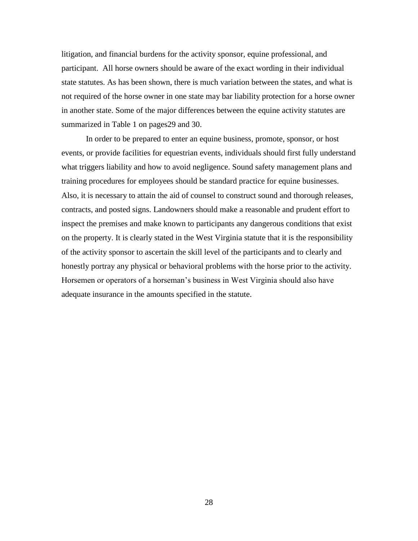litigation, and financial burdens for the activity sponsor, equine professional, and participant. All horse owners should be aware of the exact wording in their individual state statutes. As has been shown, there is much variation between the states, and what is not required of the horse owner in one state may bar liability protection for a horse owner in another state. Some of the major differences between the equine activity statutes are summarized in Table 1 on pages29 and 30.

In order to be prepared to enter an equine business, promote, sponsor, or host events, or provide facilities for equestrian events, individuals should first fully understand what triggers liability and how to avoid negligence. Sound safety management plans and training procedures for employees should be standard practice for equine businesses. Also, it is necessary to attain the aid of counsel to construct sound and thorough releases, contracts, and posted signs. Landowners should make a reasonable and prudent effort to inspect the premises and make known to participants any dangerous conditions that exist on the property. It is clearly stated in the West Virginia statute that it is the responsibility of the activity sponsor to ascertain the skill level of the participants and to clearly and honestly portray any physical or behavioral problems with the horse prior to the activity. Horsemen or operators of a horseman"s business in West Virginia should also have adequate insurance in the amounts specified in the statute.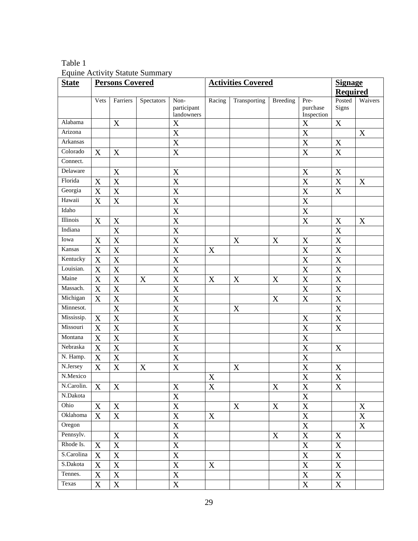Table 1 Equine Activity Statute Summary

| <b>State</b> | <b>Persons Covered</b>    |                       |             |                                   | <b>Activities Covered</b> |              |             |                                | <b>Signage</b><br><b>Required</b> |             |
|--------------|---------------------------|-----------------------|-------------|-----------------------------------|---------------------------|--------------|-------------|--------------------------------|-----------------------------------|-------------|
|              |                           |                       |             |                                   |                           |              |             |                                |                                   |             |
|              | Vets                      | Farriers              | Spectators  | Non-<br>participant<br>landowners | Racing                    | Transporting | Breeding    | Pre-<br>purchase<br>Inspection | Posted<br>Signs                   | Waivers     |
| Alabama      |                           | $\mathbf X$           |             | X                                 |                           |              |             | $\mathbf X$                    | $\mathbf X$                       |             |
| Arizona      |                           |                       |             | X                                 |                           |              |             | $\mathbf X$                    |                                   | $\mathbf X$ |
| Arkansas     |                           |                       |             | $\bf X$                           |                           |              |             | $\mathbf X$                    | $\mathbf X$                       |             |
| Colorado     | X                         | X                     |             | $\mathbf X$                       |                           |              |             | $\mathbf X$                    | $\mathbf X$                       |             |
| Connect.     |                           |                       |             |                                   |                           |              |             |                                |                                   |             |
| Delaware     |                           | X                     |             | $\mathbf X$                       |                           |              |             | $\mathbf X$                    | $\mathbf X$                       |             |
| Florida      | X                         | X                     |             | $\overline{\text{X}}$             |                           |              |             | $\boldsymbol{\mathrm{X}}$      | $\mathbf X$                       | $\mathbf X$ |
| Georgia      | X                         | X                     |             | $\boldsymbol{\mathrm{X}}$         |                           |              |             | $\mathbf X$                    | $\mathbf X$                       |             |
| Hawaii       | $\overline{\mathbf{X}}$   | $\overline{\text{X}}$ |             | $\overline{\text{X}}$             |                           |              |             | $\overline{\textbf{X}}$        |                                   |             |
| Idaho        |                           |                       |             | $\overline{X}$                    |                           |              |             | $\mathbf X$                    |                                   |             |
| Illinois     | X                         | X                     |             | $\overline{\text{X}}$             |                           |              |             | X                              | X                                 | X           |
| Indiana      |                           | X                     |             | X                                 |                           |              |             |                                | $\mathbf X$                       |             |
| Iowa         | X                         | X                     |             | X                                 |                           | X            | X           | $\mathbf X$                    | $\mathbf X$                       |             |
| Kansas       | X                         | X                     |             | $\overline{\text{X}}$             | $\mathbf X$               |              |             | $\mathbf X$                    | $\mathbf X$                       |             |
| Kentucky     | X                         | X                     |             | $\overline{\text{X}}$             |                           |              |             | $\boldsymbol{\mathrm{X}}$      | $\boldsymbol{\mathrm{X}}$         |             |
| Louisian.    | $\boldsymbol{X}$          | X                     |             | X                                 |                           |              |             | $\mathbf X$                    | $\mathbf X$                       |             |
| Maine        | X                         | X                     | $\mathbf X$ | $\mathbf X$                       | $\mathbf X$               | X            | X           | $\mathbf X$                    | $\mathbf X$                       |             |
| Massach.     | $\boldsymbol{\mathrm{X}}$ | $\mathbf X$           |             | $\overline{\text{X}}$             |                           |              |             | $\overline{\mathbf{X}}$        | $\overline{\mathbf{X}}$           |             |
| Michigan     | $\boldsymbol{X}$          | $\mathbf X$           |             | $\overline{\textbf{X}}$           |                           |              | $\mathbf X$ | $\overline{X}$                 | $\overline{\textbf{X}}$           |             |
| Minnesot.    |                           | $\overline{\text{X}}$ |             | $\overline{\text{X}}$             |                           | X            |             |                                | $\overline{\mathbf{X}}$           |             |
| Mississip.   | X                         | $\mathbf X$           |             | $\mathbf X$                       |                           |              |             | $\mathbf X$                    | $\overline{X}$                    |             |
| Missouri     | $\boldsymbol{X}$          | $\overline{\text{X}}$ |             | $\overline{\text{X}}$             |                           |              |             | $\overline{X}$                 | $\overline{X}$                    |             |
| Montana      | X                         | X                     |             | X                                 |                           |              |             | $\mathbf X$                    |                                   |             |
| Nebraska     | $\boldsymbol{X}$          | $\overline{X}$        |             | $\overline{\text{X}}$             |                           |              |             | $\mathbf X$                    | $\boldsymbol{X}$                  |             |
| N. Hamp.     | X                         | $\mathbf X$           |             | $\mathbf X$                       |                           |              |             | $\mathbf X$                    |                                   |             |
| N.Jersey     | X                         | X                     | X           | X                                 |                           | X            |             | $\boldsymbol{\mathrm{X}}$      | $\mathbf X$                       |             |
| N.Mexico     |                           |                       |             |                                   | $\mathbf X$               |              |             | $\mathbf X$                    | $\overline{\textbf{X}}$           |             |
| N.Carolin.   | X                         | X                     |             | X                                 | X                         |              | X           | X                              | X                                 |             |
| N.Dakota     |                           |                       |             | $\mathbf X$                       |                           |              |             | $\mathbf X$                    |                                   |             |
| Ohio         | X                         | X                     |             | $\mathbf X$                       |                           | $\mathbf X$  | $\mathbf X$ | $\mathbf X$                    |                                   | $\mathbf X$ |
| Oklahoma     | X                         | X                     |             | $\boldsymbol{\mathrm{X}}$         | X                         |              |             | $\boldsymbol{\mathrm{X}}$      |                                   | $\mathbf X$ |
| Oregon       |                           |                       |             | $\overline{X}$                    |                           |              |             | $\mathbf X$                    |                                   | $\mathbf X$ |
| Pennsylv.    |                           | $\mathbf X$           |             | $\overline{\mathbf{X}}$           |                           |              | X           | $\mathbf X$                    | X                                 |             |
| Rhode Is.    | X                         | $\mathbf X$           |             | $\mathbf X$                       |                           |              |             | $\mathbf X$                    | X                                 |             |
| S.Carolina   | X                         | $\mathbf X$           |             | $\overline{\mathbf{X}}$           |                           |              |             | $\overline{\mathbf{X}}$        | $\mathbf X$                       |             |
| S.Dakota     | X                         | X                     |             | $\mathbf X$                       | X                         |              |             | $\mathbf X$                    | X                                 |             |
| Tennes.      | $\mathbf X$               | $\mathbf X$           |             | $\mathbf X$                       |                           |              |             | $\mathbf X$                    | $\mathbf X$                       |             |
| Texas        | $\mathbf X$               | $\mathbf X$           |             | $\mathbf X$                       |                           |              |             | $\mathbf X$                    | X                                 |             |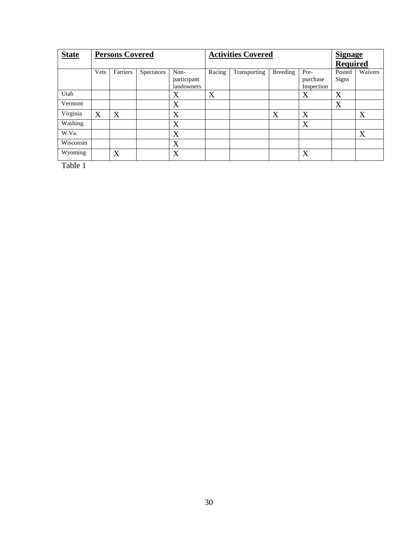| <b>State</b> | <b>Persons Covered</b> |                |            |                                   | <b>Activities Covered</b> |              |                 |                                | <b>Signage</b>         |         |
|--------------|------------------------|----------------|------------|-----------------------------------|---------------------------|--------------|-----------------|--------------------------------|------------------------|---------|
|              |                        |                |            |                                   |                           |              | <b>Required</b> |                                |                        |         |
|              | Vets                   | Farriers       | Spectators | Non-<br>participant<br>landowners | Racing                    | Transporting | Breeding        | Pre-<br>purchase<br>Inspection | Posted<br><b>Signs</b> | Waivers |
| Utah         |                        |                |            | X                                 | X                         |              |                 | X                              | X                      |         |
| Vermont      |                        |                |            | X                                 |                           |              |                 |                                | X                      |         |
| Virginia     | X                      | X              |            | X                                 |                           |              | X               | X                              |                        | X       |
| Washing.     |                        |                |            | X                                 |                           |              |                 | X                              |                        |         |
| W.Va.        |                        |                |            | X                                 |                           |              |                 |                                |                        | X       |
| Wisconsin    |                        |                |            | X                                 |                           |              |                 |                                |                        |         |
| Wyoming      |                        | $\overline{X}$ |            | X                                 |                           |              |                 | X                              |                        |         |

Table 1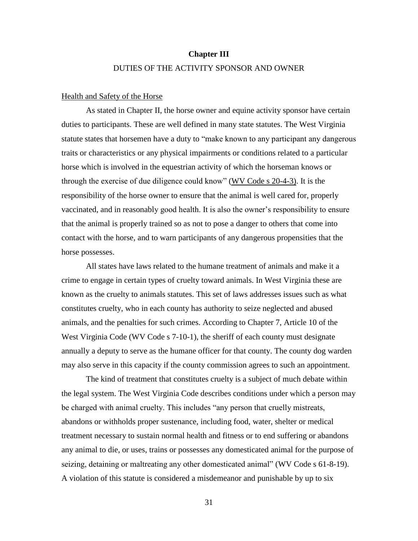## **Chapter III** DUTIES OF THE ACTIVITY SPONSOR AND OWNER

#### Health and Safety of the Horse

As stated in Chapter II, the horse owner and equine activity sponsor have certain duties to participants. These are well defined in many state statutes. The West Virginia statute states that horsemen have a duty to "make known to any participant any dangerous traits or characteristics or any physical impairments or conditions related to a particular horse which is involved in the equestrian activity of which the horseman knows or through the exercise of due diligence could know" (WV Code s 20-4-3). It is the responsibility of the horse owner to ensure that the animal is well cared for, properly vaccinated, and in reasonably good health. It is also the owner"s responsibility to ensure that the animal is properly trained so as not to pose a danger to others that come into contact with the horse, and to warn participants of any dangerous propensities that the horse possesses.

All states have laws related to the humane treatment of animals and make it a crime to engage in certain types of cruelty toward animals. In West Virginia these are known as the cruelty to animals statutes. This set of laws addresses issues such as what constitutes cruelty, who in each county has authority to seize neglected and abused animals, and the penalties for such crimes. According to Chapter 7, Article 10 of the West Virginia Code (WV Code s 7-10-1), the sheriff of each county must designate annually a deputy to serve as the humane officer for that county. The county dog warden may also serve in this capacity if the county commission agrees to such an appointment.

The kind of treatment that constitutes cruelty is a subject of much debate within the legal system. The West Virginia Code describes conditions under which a person may be charged with animal cruelty. This includes "any person that cruelly mistreats, abandons or withholds proper sustenance, including food, water, shelter or medical treatment necessary to sustain normal health and fitness or to end suffering or abandons any animal to die, or uses, trains or possesses any domesticated animal for the purpose of seizing, detaining or maltreating any other domesticated animal" (WV Code s 61-8-19). A violation of this statute is considered a misdemeanor and punishable by up to six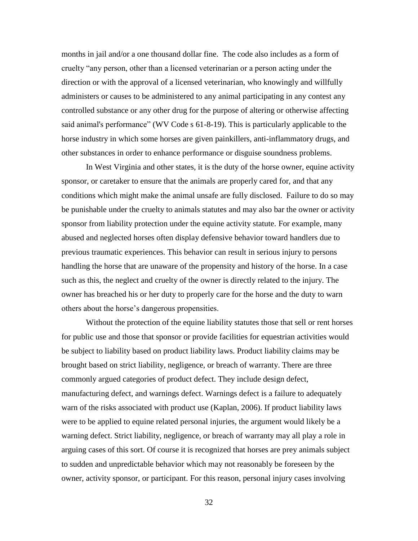months in jail and/or a one thousand dollar fine. The code also includes as a form of cruelty "any person, other than a licensed veterinarian or a person acting under the direction or with the approval of a licensed veterinarian, who knowingly and willfully administers or causes to be administered to any animal participating in any contest any controlled substance or any other drug for the purpose of altering or otherwise affecting said animal's performance" (WV Code s 61-8-19). This is particularly applicable to the horse industry in which some horses are given painkillers, anti-inflammatory drugs, and other substances in order to enhance performance or disguise soundness problems.

In West Virginia and other states, it is the duty of the horse owner, equine activity sponsor, or caretaker to ensure that the animals are properly cared for, and that any conditions which might make the animal unsafe are fully disclosed. Failure to do so may be punishable under the cruelty to animals statutes and may also bar the owner or activity sponsor from liability protection under the equine activity statute. For example, many abused and neglected horses often display defensive behavior toward handlers due to previous traumatic experiences. This behavior can result in serious injury to persons handling the horse that are unaware of the propensity and history of the horse. In a case such as this, the neglect and cruelty of the owner is directly related to the injury. The owner has breached his or her duty to properly care for the horse and the duty to warn others about the horse"s dangerous propensities.

Without the protection of the equine liability statutes those that sell or rent horses for public use and those that sponsor or provide facilities for equestrian activities would be subject to liability based on product liability laws. Product liability claims may be brought based on strict liability, negligence, or breach of warranty. There are three commonly argued categories of product defect. They include design defect, manufacturing defect, and warnings defect. Warnings defect is a failure to adequately warn of the risks associated with product use (Kaplan, 2006). If product liability laws were to be applied to equine related personal injuries, the argument would likely be a warning defect. Strict liability, negligence, or breach of warranty may all play a role in arguing cases of this sort. Of course it is recognized that horses are prey animals subject to sudden and unpredictable behavior which may not reasonably be foreseen by the owner, activity sponsor, or participant. For this reason, personal injury cases involving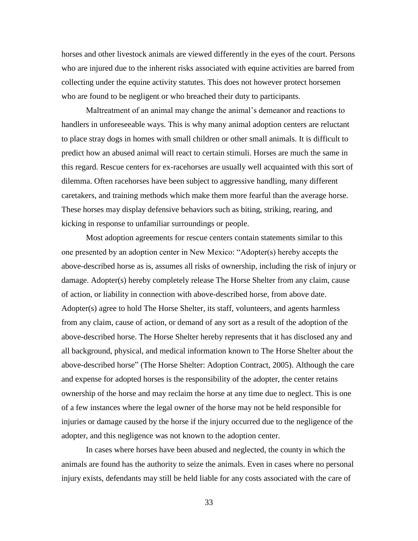horses and other livestock animals are viewed differently in the eyes of the court. Persons who are injured due to the inherent risks associated with equine activities are barred from collecting under the equine activity statutes. This does not however protect horsemen who are found to be negligent or who breached their duty to participants.

Maltreatment of an animal may change the animal"s demeanor and reactions to handlers in unforeseeable ways. This is why many animal adoption centers are reluctant to place stray dogs in homes with small children or other small animals. It is difficult to predict how an abused animal will react to certain stimuli. Horses are much the same in this regard. Rescue centers for ex-racehorses are usually well acquainted with this sort of dilemma. Often racehorses have been subject to aggressive handling, many different caretakers, and training methods which make them more fearful than the average horse. These horses may display defensive behaviors such as biting, striking, rearing, and kicking in response to unfamiliar surroundings or people.

Most adoption agreements for rescue centers contain statements similar to this one presented by an adoption center in New Mexico: "Adopter(s) hereby accepts the above-described horse as is, assumes all risks of ownership, including the risk of injury or damage. Adopter(s) hereby completely release The Horse Shelter from any claim, cause of action, or liability in connection with above-described horse, from above date. Adopter(s) agree to hold The Horse Shelter, its staff, volunteers, and agents harmless from any claim, cause of action, or demand of any sort as a result of the adoption of the above-described horse. The Horse Shelter hereby represents that it has disclosed any and all background, physical, and medical information known to The Horse Shelter about the above-described horse" (The Horse Shelter: Adoption Contract, 2005). Although the care and expense for adopted horses is the responsibility of the adopter, the center retains ownership of the horse and may reclaim the horse at any time due to neglect. This is one of a few instances where the legal owner of the horse may not be held responsible for injuries or damage caused by the horse if the injury occurred due to the negligence of the adopter, and this negligence was not known to the adoption center.

In cases where horses have been abused and neglected, the county in which the animals are found has the authority to seize the animals. Even in cases where no personal injury exists, defendants may still be held liable for any costs associated with the care of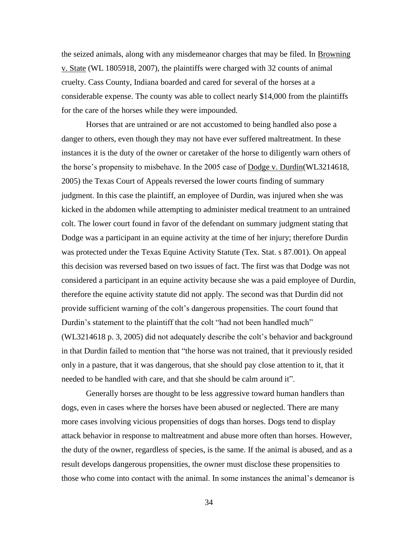the seized animals, along with any misdemeanor charges that may be filed. In Browning v. State (WL 1805918, 2007), the plaintiffs were charged with 32 counts of animal cruelty. Cass County, Indiana boarded and cared for several of the horses at a considerable expense. The county was able to collect nearly \$14,000 from the plaintiffs for the care of the horses while they were impounded.

Horses that are untrained or are not accustomed to being handled also pose a danger to others, even though they may not have ever suffered maltreatment. In these instances it is the duty of the owner or caretaker of the horse to diligently warn others of the horse"s propensity to misbehave. In the 2005 case of Dodge v. Durdin(WL3214618, 2005) the Texas Court of Appeals reversed the lower courts finding of summary judgment. In this case the plaintiff, an employee of Durdin, was injured when she was kicked in the abdomen while attempting to administer medical treatment to an untrained colt. The lower court found in favor of the defendant on summary judgment stating that Dodge was a participant in an equine activity at the time of her injury; therefore Durdin was protected under the Texas Equine Activity Statute (Tex. Stat. s 87.001). On appeal this decision was reversed based on two issues of fact. The first was that Dodge was not considered a participant in an equine activity because she was a paid employee of Durdin, therefore the equine activity statute did not apply. The second was that Durdin did not provide sufficient warning of the colt"s dangerous propensities. The court found that Durdin's statement to the plaintiff that the colt "had not been handled much" (WL3214618 p. 3, 2005) did not adequately describe the colt"s behavior and background in that Durdin failed to mention that "the horse was not trained, that it previously resided only in a pasture, that it was dangerous, that she should pay close attention to it, that it needed to be handled with care, and that she should be calm around it".

Generally horses are thought to be less aggressive toward human handlers than dogs, even in cases where the horses have been abused or neglected. There are many more cases involving vicious propensities of dogs than horses. Dogs tend to display attack behavior in response to maltreatment and abuse more often than horses. However, the duty of the owner, regardless of species, is the same. If the animal is abused, and as a result develops dangerous propensities, the owner must disclose these propensities to those who come into contact with the animal. In some instances the animal"s demeanor is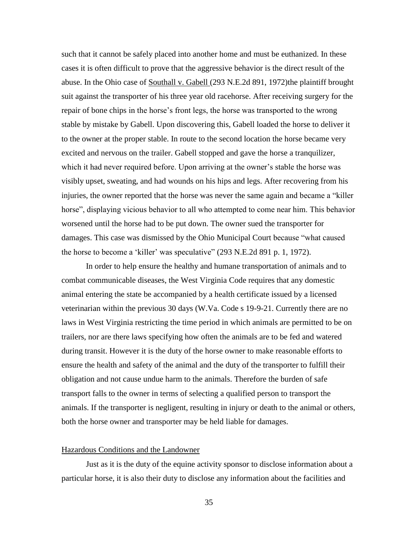such that it cannot be safely placed into another home and must be euthanized. In these cases it is often difficult to prove that the aggressive behavior is the direct result of the abuse. In the Ohio case of Southall v. Gabell (293 N.E.2d 891, 1972)the plaintiff brought suit against the transporter of his three year old racehorse. After receiving surgery for the repair of bone chips in the horse's front legs, the horse was transported to the wrong stable by mistake by Gabell. Upon discovering this, Gabell loaded the horse to deliver it to the owner at the proper stable. In route to the second location the horse became very excited and nervous on the trailer. Gabell stopped and gave the horse a tranquilizer, which it had never required before. Upon arriving at the owner's stable the horse was visibly upset, sweating, and had wounds on his hips and legs. After recovering from his injuries, the owner reported that the horse was never the same again and became a "killer horse", displaying vicious behavior to all who attempted to come near him. This behavior worsened until the horse had to be put down. The owner sued the transporter for damages. This case was dismissed by the Ohio Municipal Court because "what caused the horse to become a "killer" was speculative" (293 N.E.2d 891 p. 1, 1972).

In order to help ensure the healthy and humane transportation of animals and to combat communicable diseases, the West Virginia Code requires that any domestic animal entering the state be accompanied by a health certificate issued by a licensed veterinarian within the previous 30 days (W.Va. Code s 19-9-21. Currently there are no laws in West Virginia restricting the time period in which animals are permitted to be on trailers, nor are there laws specifying how often the animals are to be fed and watered during transit. However it is the duty of the horse owner to make reasonable efforts to ensure the health and safety of the animal and the duty of the transporter to fulfill their obligation and not cause undue harm to the animals. Therefore the burden of safe transport falls to the owner in terms of selecting a qualified person to transport the animals. If the transporter is negligent, resulting in injury or death to the animal or others, both the horse owner and transporter may be held liable for damages.

#### Hazardous Conditions and the Landowner

Just as it is the duty of the equine activity sponsor to disclose information about a particular horse, it is also their duty to disclose any information about the facilities and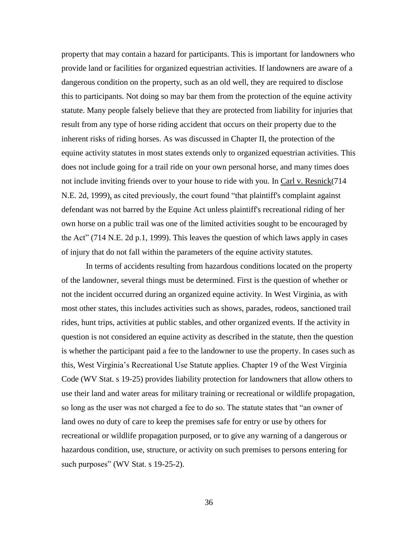property that may contain a hazard for participants. This is important for landowners who provide land or facilities for organized equestrian activities. If landowners are aware of a dangerous condition on the property, such as an old well, they are required to disclose this to participants. Not doing so may bar them from the protection of the equine activity statute. Many people falsely believe that they are protected from liability for injuries that result from any type of horse riding accident that occurs on their property due to the inherent risks of riding horses. As was discussed in Chapter II, the protection of the equine activity statutes in most states extends only to organized equestrian activities. This does not include going for a trail ride on your own personal horse, and many times does not include inviting friends over to your house to ride with you. In Carl v. Resnick(714 N.E. 2d, 1999), as cited previously, the court found "that plaintiff's complaint against defendant was not barred by the Equine Act unless plaintiff's recreational riding of her own horse on a public trail was one of the limited activities sought to be encouraged by the Act" (714 N.E. 2d p.1, 1999). This leaves the question of which laws apply in cases of injury that do not fall within the parameters of the equine activity statutes.

In terms of accidents resulting from hazardous conditions located on the property of the landowner, several things must be determined. First is the question of whether or not the incident occurred during an organized equine activity. In West Virginia, as with most other states, this includes activities such as shows, parades, rodeos, sanctioned trail rides, hunt trips, activities at public stables, and other organized events. If the activity in question is not considered an equine activity as described in the statute, then the question is whether the participant paid a fee to the landowner to use the property. In cases such as this, West Virginia"s Recreational Use Statute applies. Chapter 19 of the West Virginia Code (WV Stat. s 19-25) provides liability protection for landowners that allow others to use their land and water areas for military training or recreational or wildlife propagation, so long as the user was not charged a fee to do so. The statute states that "an owner of land owes no duty of care to keep the premises safe for entry or use by others for recreational or wildlife propagation purposed, or to give any warning of a dangerous or hazardous condition, use, structure, or activity on such premises to persons entering for such purposes" (WV Stat. s 19-25-2).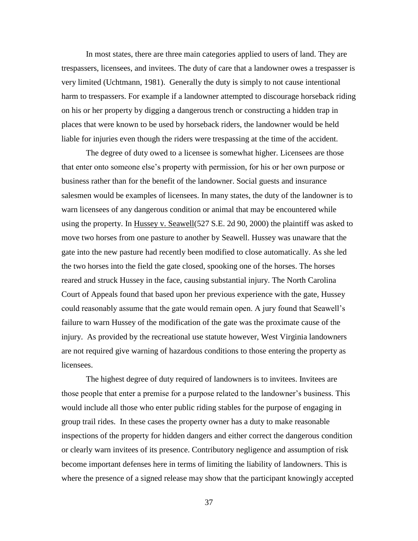In most states, there are three main categories applied to users of land. They are trespassers, licensees, and invitees. The duty of care that a landowner owes a trespasser is very limited (Uchtmann, 1981). Generally the duty is simply to not cause intentional harm to trespassers. For example if a landowner attempted to discourage horseback riding on his or her property by digging a dangerous trench or constructing a hidden trap in places that were known to be used by horseback riders, the landowner would be held liable for injuries even though the riders were trespassing at the time of the accident.

The degree of duty owed to a licensee is somewhat higher. Licensees are those that enter onto someone else"s property with permission, for his or her own purpose or business rather than for the benefit of the landowner. Social guests and insurance salesmen would be examples of licensees. In many states, the duty of the landowner is to warn licensees of any dangerous condition or animal that may be encountered while using the property. In Hussey v. Seawell(527 S.E. 2d 90, 2000) the plaintiff was asked to move two horses from one pasture to another by Seawell. Hussey was unaware that the gate into the new pasture had recently been modified to close automatically. As she led the two horses into the field the gate closed, spooking one of the horses. The horses reared and struck Hussey in the face, causing substantial injury. The North Carolina Court of Appeals found that based upon her previous experience with the gate, Hussey could reasonably assume that the gate would remain open. A jury found that Seawell"s failure to warn Hussey of the modification of the gate was the proximate cause of the injury. As provided by the recreational use statute however, West Virginia landowners are not required give warning of hazardous conditions to those entering the property as licensees.

The highest degree of duty required of landowners is to invitees. Invitees are those people that enter a premise for a purpose related to the landowner"s business. This would include all those who enter public riding stables for the purpose of engaging in group trail rides. In these cases the property owner has a duty to make reasonable inspections of the property for hidden dangers and either correct the dangerous condition or clearly warn invitees of its presence. Contributory negligence and assumption of risk become important defenses here in terms of limiting the liability of landowners. This is where the presence of a signed release may show that the participant knowingly accepted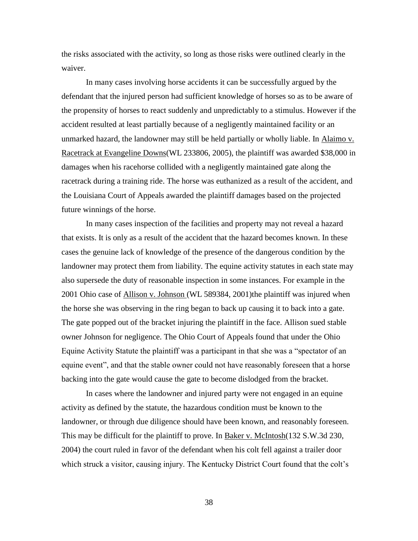the risks associated with the activity, so long as those risks were outlined clearly in the waiver.

In many cases involving horse accidents it can be successfully argued by the defendant that the injured person had sufficient knowledge of horses so as to be aware of the propensity of horses to react suddenly and unpredictably to a stimulus. However if the accident resulted at least partially because of a negligently maintained facility or an unmarked hazard, the landowner may still be held partially or wholly liable. In Alaimo v. Racetrack at Evangeline Downs(WL 233806, 2005), the plaintiff was awarded \$38,000 in damages when his racehorse collided with a negligently maintained gate along the racetrack during a training ride. The horse was euthanized as a result of the accident, and the Louisiana Court of Appeals awarded the plaintiff damages based on the projected future winnings of the horse.

In many cases inspection of the facilities and property may not reveal a hazard that exists. It is only as a result of the accident that the hazard becomes known. In these cases the genuine lack of knowledge of the presence of the dangerous condition by the landowner may protect them from liability. The equine activity statutes in each state may also supersede the duty of reasonable inspection in some instances. For example in the 2001 Ohio case of Allison v. Johnson (WL 589384, 2001) the plaintiff was injured when the horse she was observing in the ring began to back up causing it to back into a gate. The gate popped out of the bracket injuring the plaintiff in the face. Allison sued stable owner Johnson for negligence. The Ohio Court of Appeals found that under the Ohio Equine Activity Statute the plaintiff was a participant in that she was a "spectator of an equine event", and that the stable owner could not have reasonably foreseen that a horse backing into the gate would cause the gate to become dislodged from the bracket.

In cases where the landowner and injured party were not engaged in an equine activity as defined by the statute, the hazardous condition must be known to the landowner, or through due diligence should have been known, and reasonably foreseen. This may be difficult for the plaintiff to prove. In Baker v. McIntosh(132 S.W.3d 230, 2004) the court ruled in favor of the defendant when his colt fell against a trailer door which struck a visitor, causing injury. The Kentucky District Court found that the colt's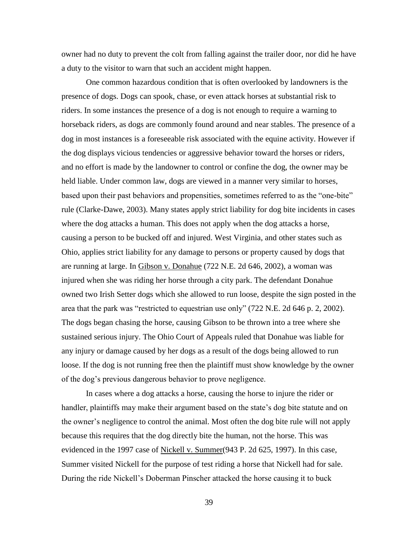owner had no duty to prevent the colt from falling against the trailer door, nor did he have a duty to the visitor to warn that such an accident might happen.

One common hazardous condition that is often overlooked by landowners is the presence of dogs. Dogs can spook, chase, or even attack horses at substantial risk to riders. In some instances the presence of a dog is not enough to require a warning to horseback riders, as dogs are commonly found around and near stables. The presence of a dog in most instances is a foreseeable risk associated with the equine activity. However if the dog displays vicious tendencies or aggressive behavior toward the horses or riders, and no effort is made by the landowner to control or confine the dog, the owner may be held liable. Under common law, dogs are viewed in a manner very similar to horses, based upon their past behaviors and propensities, sometimes referred to as the "one-bite" rule (Clarke-Dawe, 2003). Many states apply strict liability for dog bite incidents in cases where the dog attacks a human. This does not apply when the dog attacks a horse, causing a person to be bucked off and injured. West Virginia, and other states such as Ohio, applies strict liability for any damage to persons or property caused by dogs that are running at large. In Gibson v. Donahue (722 N.E. 2d 646, 2002), a woman was injured when she was riding her horse through a city park. The defendant Donahue owned two Irish Setter dogs which she allowed to run loose, despite the sign posted in the area that the park was "restricted to equestrian use only" (722 N.E. 2d 646 p. 2, 2002). The dogs began chasing the horse, causing Gibson to be thrown into a tree where she sustained serious injury. The Ohio Court of Appeals ruled that Donahue was liable for any injury or damage caused by her dogs as a result of the dogs being allowed to run loose. If the dog is not running free then the plaintiff must show knowledge by the owner of the dog"s previous dangerous behavior to prove negligence.

In cases where a dog attacks a horse, causing the horse to injure the rider or handler, plaintiffs may make their argument based on the state's dog bite statute and on the owner"s negligence to control the animal. Most often the dog bite rule will not apply because this requires that the dog directly bite the human, not the horse. This was evidenced in the 1997 case of Nickell v. Summer(943 P. 2d 625, 1997). In this case, Summer visited Nickell for the purpose of test riding a horse that Nickell had for sale. During the ride Nickell"s Doberman Pinscher attacked the horse causing it to buck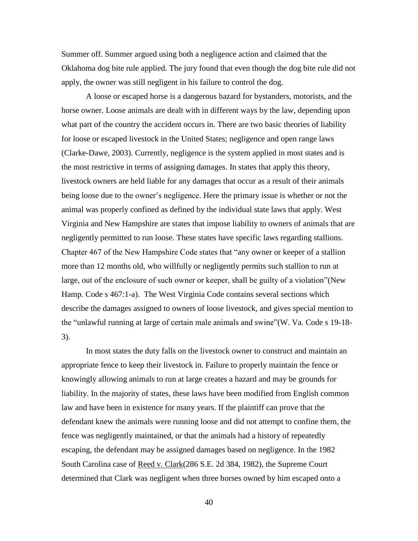Summer off. Summer argued using both a negligence action and claimed that the Oklahoma dog bite rule applied. The jury found that even though the dog bite rule did not apply, the owner was still negligent in his failure to control the dog.

A loose or escaped horse is a dangerous hazard for bystanders, motorists, and the horse owner. Loose animals are dealt with in different ways by the law, depending upon what part of the country the accident occurs in. There are two basic theories of liability for loose or escaped livestock in the United States; negligence and open range laws (Clarke-Dawe, 2003). Currently, negligence is the system applied in most states and is the most restrictive in terms of assigning damages. In states that apply this theory, livestock owners are held liable for any damages that occur as a result of their animals being loose due to the owner"s negligence. Here the primary issue is whether or not the animal was properly confined as defined by the individual state laws that apply. West Virginia and New Hampshire are states that impose liability to owners of animals that are negligently permitted to run loose. These states have specific laws regarding stallions. Chapter 467 of the New Hampshire Code states that "any owner or keeper of a stallion more than 12 months old, who willfully or negligently permits such stallion to run at large, out of the enclosure of such owner or keeper, shall be guilty of a violation"(New Hamp. Code s 467:1-a). The West Virginia Code contains several sections which describe the damages assigned to owners of loose livestock, and gives special mention to the "unlawful running at large of certain male animals and swine"(W. Va. Code s 19-18- 3).

In most states the duty falls on the livestock owner to construct and maintain an appropriate fence to keep their livestock in. Failure to properly maintain the fence or knowingly allowing animals to run at large creates a hazard and may be grounds for liability. In the majority of states, these laws have been modified from English common law and have been in existence for many years. If the plaintiff can prove that the defendant knew the animals were running loose and did not attempt to confine them, the fence was negligently maintained, or that the animals had a history of repeatedly escaping, the defendant may be assigned damages based on negligence. In the 1982 South Carolina case of Reed v. Clark(286 S.E. 2d 384, 1982), the Supreme Court determined that Clark was negligent when three horses owned by him escaped onto a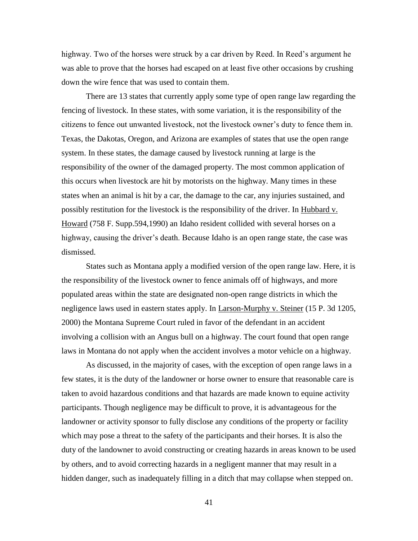highway. Two of the horses were struck by a car driven by Reed. In Reed"s argument he was able to prove that the horses had escaped on at least five other occasions by crushing down the wire fence that was used to contain them.

There are 13 states that currently apply some type of open range law regarding the fencing of livestock. In these states, with some variation, it is the responsibility of the citizens to fence out unwanted livestock, not the livestock owner"s duty to fence them in. Texas, the Dakotas, Oregon, and Arizona are examples of states that use the open range system. In these states, the damage caused by livestock running at large is the responsibility of the owner of the damaged property. The most common application of this occurs when livestock are hit by motorists on the highway. Many times in these states when an animal is hit by a car, the damage to the car, any injuries sustained, and possibly restitution for the livestock is the responsibility of the driver. In Hubbard v. Howard (758 F. Supp.594,1990) an Idaho resident collided with several horses on a highway, causing the driver's death. Because Idaho is an open range state, the case was dismissed.

States such as Montana apply a modified version of the open range law. Here, it is the responsibility of the livestock owner to fence animals off of highways, and more populated areas within the state are designated non-open range districts in which the negligence laws used in eastern states apply. In Larson-Murphy v. Steiner (15 P. 3d 1205, 2000) the Montana Supreme Court ruled in favor of the defendant in an accident involving a collision with an Angus bull on a highway. The court found that open range laws in Montana do not apply when the accident involves a motor vehicle on a highway.

As discussed, in the majority of cases, with the exception of open range laws in a few states, it is the duty of the landowner or horse owner to ensure that reasonable care is taken to avoid hazardous conditions and that hazards are made known to equine activity participants. Though negligence may be difficult to prove, it is advantageous for the landowner or activity sponsor to fully disclose any conditions of the property or facility which may pose a threat to the safety of the participants and their horses. It is also the duty of the landowner to avoid constructing or creating hazards in areas known to be used by others, and to avoid correcting hazards in a negligent manner that may result in a hidden danger, such as inadequately filling in a ditch that may collapse when stepped on.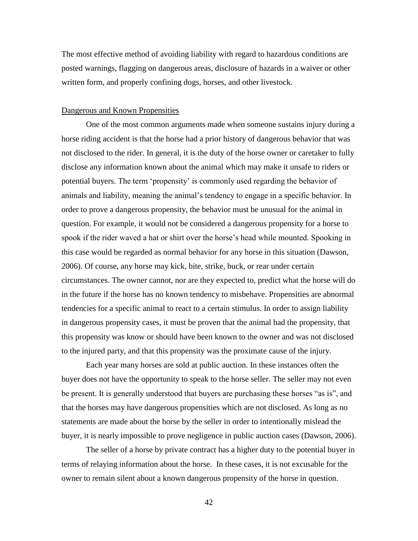The most effective method of avoiding liability with regard to hazardous conditions are posted warnings, flagging on dangerous areas, disclosure of hazards in a waiver or other written form, and properly confining dogs, horses, and other livestock.

#### Dangerous and Known Propensities

One of the most common arguments made when someone sustains injury during a horse riding accident is that the horse had a prior history of dangerous behavior that was not disclosed to the rider. In general, it is the duty of the horse owner or caretaker to fully disclose any information known about the animal which may make it unsafe to riders or potential buyers. The term "propensity" is commonly used regarding the behavior of animals and liability, meaning the animal"s tendency to engage in a specific behavior. In order to prove a dangerous propensity, the behavior must be unusual for the animal in question. For example, it would not be considered a dangerous propensity for a horse to spook if the rider waved a hat or shirt over the horse's head while mounted. Spooking in this case would be regarded as normal behavior for any horse in this situation (Dawson, 2006). Of course, any horse may kick, bite, strike, buck, or rear under certain circumstances. The owner cannot, nor are they expected to, predict what the horse will do in the future if the horse has no known tendency to misbehave. Propensities are abnormal tendencies for a specific animal to react to a certain stimulus. In order to assign liability in dangerous propensity cases, it must be proven that the animal had the propensity, that this propensity was know or should have been known to the owner and was not disclosed to the injured party, and that this propensity was the proximate cause of the injury.

Each year many horses are sold at public auction. In these instances often the buyer does not have the opportunity to speak to the horse seller. The seller may not even be present. It is generally understood that buyers are purchasing these horses "as is", and that the horses may have dangerous propensities which are not disclosed. As long as no statements are made about the horse by the seller in order to intentionally mislead the buyer, it is nearly impossible to prove negligence in public auction cases (Dawson, 2006).

The seller of a horse by private contract has a higher duty to the potential buyer in terms of relaying information about the horse. In these cases, it is not excusable for the owner to remain silent about a known dangerous propensity of the horse in question.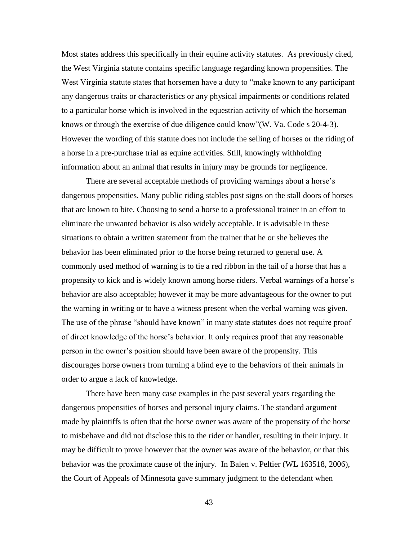Most states address this specifically in their equine activity statutes. As previously cited, the West Virginia statute contains specific language regarding known propensities. The West Virginia statute states that horsemen have a duty to "make known to any participant any dangerous traits or characteristics or any physical impairments or conditions related to a particular horse which is involved in the equestrian activity of which the horseman knows or through the exercise of due diligence could know"(W. Va. Code s 20-4-3). However the wording of this statute does not include the selling of horses or the riding of a horse in a pre-purchase trial as equine activities. Still, knowingly withholding information about an animal that results in injury may be grounds for negligence.

There are several acceptable methods of providing warnings about a horse's dangerous propensities. Many public riding stables post signs on the stall doors of horses that are known to bite. Choosing to send a horse to a professional trainer in an effort to eliminate the unwanted behavior is also widely acceptable. It is advisable in these situations to obtain a written statement from the trainer that he or she believes the behavior has been eliminated prior to the horse being returned to general use. A commonly used method of warning is to tie a red ribbon in the tail of a horse that has a propensity to kick and is widely known among horse riders. Verbal warnings of a horse"s behavior are also acceptable; however it may be more advantageous for the owner to put the warning in writing or to have a witness present when the verbal warning was given. The use of the phrase "should have known" in many state statutes does not require proof of direct knowledge of the horse"s behavior. It only requires proof that any reasonable person in the owner"s position should have been aware of the propensity. This discourages horse owners from turning a blind eye to the behaviors of their animals in order to argue a lack of knowledge.

There have been many case examples in the past several years regarding the dangerous propensities of horses and personal injury claims. The standard argument made by plaintiffs is often that the horse owner was aware of the propensity of the horse to misbehave and did not disclose this to the rider or handler, resulting in their injury. It may be difficult to prove however that the owner was aware of the behavior, or that this behavior was the proximate cause of the injury. In Balen v. Peltier (WL 163518, 2006), the Court of Appeals of Minnesota gave summary judgment to the defendant when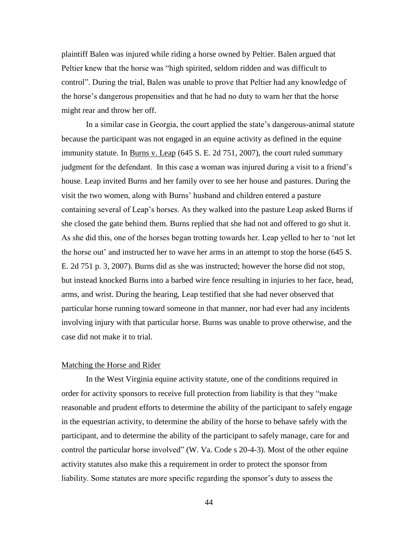plaintiff Balen was injured while riding a horse owned by Peltier. Balen argued that Peltier knew that the horse was "high spirited, seldom ridden and was difficult to control". During the trial, Balen was unable to prove that Peltier had any knowledge of the horse"s dangerous propensities and that he had no duty to warn her that the horse might rear and throw her off.

In a similar case in Georgia, the court applied the state"s dangerous-animal statute because the participant was not engaged in an equine activity as defined in the equine immunity statute. In Burns v. Leap (645 S. E. 2d 751, 2007), the court ruled summary judgment for the defendant. In this case a woman was injured during a visit to a friend"s house. Leap invited Burns and her family over to see her house and pastures. During the visit the two women, along with Burns" husband and children entered a pasture containing several of Leap"s horses. As they walked into the pasture Leap asked Burns if she closed the gate behind them. Burns replied that she had not and offered to go shut it. As she did this, one of the horses began trotting towards her. Leap yelled to her to "not let the horse out" and instructed her to wave her arms in an attempt to stop the horse (645 S. E. 2d 751 p. 3, 2007). Burns did as she was instructed; however the horse did not stop, but instead knocked Burns into a barbed wire fence resulting in injuries to her face, head, arms, and wrist. During the hearing, Leap testified that she had never observed that particular horse running toward someone in that manner, nor had ever had any incidents involving injury with that particular horse. Burns was unable to prove otherwise, and the case did not make it to trial.

#### Matching the Horse and Rider

In the West Virginia equine activity statute, one of the conditions required in order for activity sponsors to receive full protection from liability is that they "make reasonable and prudent efforts to determine the ability of the participant to safely engage in the equestrian activity, to determine the ability of the horse to behave safely with the participant, and to determine the ability of the participant to safely manage, care for and control the particular horse involved" (W. Va. Code s 20-4-3). Most of the other equine activity statutes also make this a requirement in order to protect the sponsor from liability. Some statutes are more specific regarding the sponsor's duty to assess the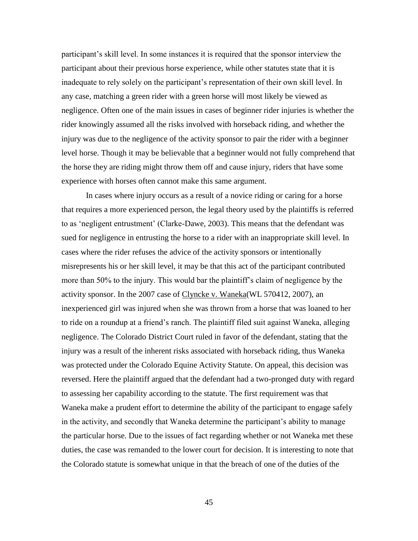participant"s skill level. In some instances it is required that the sponsor interview the participant about their previous horse experience, while other statutes state that it is inadequate to rely solely on the participant's representation of their own skill level. In any case, matching a green rider with a green horse will most likely be viewed as negligence. Often one of the main issues in cases of beginner rider injuries is whether the rider knowingly assumed all the risks involved with horseback riding, and whether the injury was due to the negligence of the activity sponsor to pair the rider with a beginner level horse. Though it may be believable that a beginner would not fully comprehend that the horse they are riding might throw them off and cause injury, riders that have some experience with horses often cannot make this same argument.

In cases where injury occurs as a result of a novice riding or caring for a horse that requires a more experienced person, the legal theory used by the plaintiffs is referred to as "negligent entrustment" (Clarke-Dawe, 2003). This means that the defendant was sued for negligence in entrusting the horse to a rider with an inappropriate skill level. In cases where the rider refuses the advice of the activity sponsors or intentionally misrepresents his or her skill level, it may be that this act of the participant contributed more than 50% to the injury. This would bar the plaintiff"s claim of negligence by the activity sponsor. In the 2007 case of Clyncke v. Waneka (WL 570412, 2007), an inexperienced girl was injured when she was thrown from a horse that was loaned to her to ride on a roundup at a friend"s ranch. The plaintiff filed suit against Waneka, alleging negligence. The Colorado District Court ruled in favor of the defendant, stating that the injury was a result of the inherent risks associated with horseback riding, thus Waneka was protected under the Colorado Equine Activity Statute. On appeal, this decision was reversed. Here the plaintiff argued that the defendant had a two-pronged duty with regard to assessing her capability according to the statute. The first requirement was that Waneka make a prudent effort to determine the ability of the participant to engage safely in the activity, and secondly that Waneka determine the participant"s ability to manage the particular horse. Due to the issues of fact regarding whether or not Waneka met these duties, the case was remanded to the lower court for decision. It is interesting to note that the Colorado statute is somewhat unique in that the breach of one of the duties of the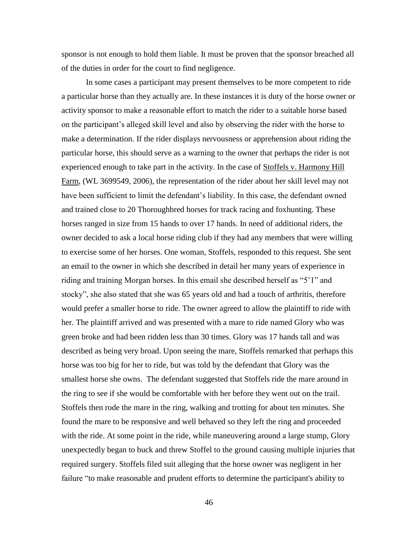sponsor is not enough to hold them liable. It must be proven that the sponsor breached all of the duties in order for the court to find negligence.

In some cases a participant may present themselves to be more competent to ride a particular horse than they actually are. In these instances it is duty of the horse owner or activity sponsor to make a reasonable effort to match the rider to a suitable horse based on the participant"s alleged skill level and also by observing the rider with the horse to make a determination. If the rider displays nervousness or apprehension about riding the particular horse, this should serve as a warning to the owner that perhaps the rider is not experienced enough to take part in the activity. In the case of Stoffels v. Harmony Hill Farm, (WL 3699549, 2006), the representation of the rider about her skill level may not have been sufficient to limit the defendant's liability. In this case, the defendant owned and trained close to 20 Thoroughbred horses for track racing and foxhunting. These horses ranged in size from 15 hands to over 17 hands. In need of additional riders, the owner decided to ask a local horse riding club if they had any members that were willing to exercise some of her horses. One woman, Stoffels, responded to this request. She sent an email to the owner in which she described in detail her many years of experience in riding and training Morgan horses. In this email she described herself as "5"1" and stocky", she also stated that she was 65 years old and had a touch of arthritis, therefore would prefer a smaller horse to ride. The owner agreed to allow the plaintiff to ride with her. The plaintiff arrived and was presented with a mare to ride named Glory who was green broke and had been ridden less than 30 times. Glory was 17 hands tall and was described as being very broad. Upon seeing the mare, Stoffels remarked that perhaps this horse was too big for her to ride, but was told by the defendant that Glory was the smallest horse she owns. The defendant suggested that Stoffels ride the mare around in the ring to see if she would be comfortable with her before they went out on the trail. Stoffels then rode the mare in the ring, walking and trotting for about ten minutes. She found the mare to be responsive and well behaved so they left the ring and proceeded with the ride. At some point in the ride, while maneuvering around a large stump, Glory unexpectedly began to buck and threw Stoffel to the ground causing multiple injuries that required surgery. Stoffels filed suit alleging that the horse owner was negligent in her failure "to make reasonable and prudent efforts to determine the participant's ability to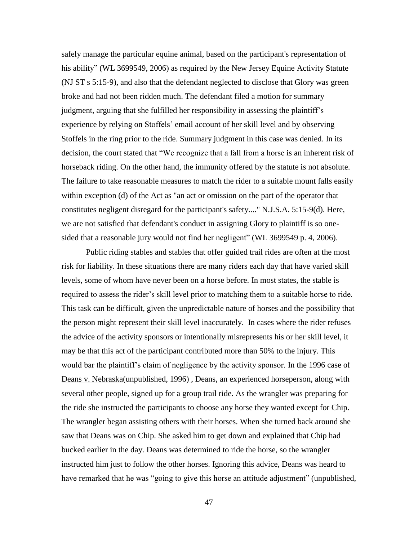safely manage the particular equine animal, based on the participant's representation of his ability" (WL 3699549, 2006) as required by the New Jersey Equine Activity Statute (NJ ST s 5:15-9), and also that the defendant neglected to disclose that Glory was green broke and had not been ridden much. The defendant filed a motion for summary judgment, arguing that she fulfilled her responsibility in assessing the plaintiff"s experience by relying on Stoffels" email account of her skill level and by observing Stoffels in the ring prior to the ride. Summary judgment in this case was denied. In its decision, the court stated that "We recognize that a fall from a horse is an inherent risk of horseback riding. On the other hand, the immunity offered by the statute is not absolute. The failure to take reasonable measures to match the rider to a suitable mount falls easily within exception (d) of the Act as "an act or omission on the part of the operator that constitutes negligent disregard for the participant's safety...." N.J.S.A. 5:15-9(d). Here, we are not satisfied that defendant's conduct in assigning Glory to plaintiff is so onesided that a reasonable jury would not find her negligent" (WL 3699549 p. 4, 2006).

Public riding stables and stables that offer guided trail rides are often at the most risk for liability. In these situations there are many riders each day that have varied skill levels, some of whom have never been on a horse before. In most states, the stable is required to assess the rider's skill level prior to matching them to a suitable horse to ride. This task can be difficult, given the unpredictable nature of horses and the possibility that the person might represent their skill level inaccurately. In cases where the rider refuses the advice of the activity sponsors or intentionally misrepresents his or her skill level, it may be that this act of the participant contributed more than 50% to the injury. This would bar the plaintiff"s claim of negligence by the activity sponsor. In the 1996 case of Deans v. Nebraska(unpublished, 1996) , Deans, an experienced horseperson, along with several other people, signed up for a group trail ride. As the wrangler was preparing for the ride she instructed the participants to choose any horse they wanted except for Chip. The wrangler began assisting others with their horses. When she turned back around she saw that Deans was on Chip. She asked him to get down and explained that Chip had bucked earlier in the day. Deans was determined to ride the horse, so the wrangler instructed him just to follow the other horses. Ignoring this advice, Deans was heard to have remarked that he was "going to give this horse an attitude adjustment" (unpublished,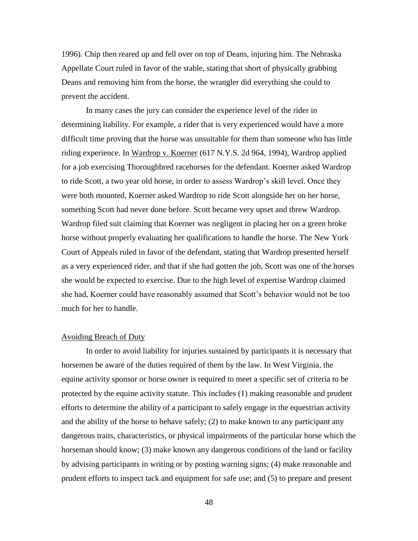1996). Chip then reared up and fell over on top of Deans, injuring him. The Nebraska Appellate Court ruled in favor of the stable, stating that short of physically grabbing Deans and removing him from the horse, the wrangler did everything she could to prevent the accident.

In many cases the jury can consider the experience level of the rider in determining liability. For example, a rider that is very experienced would have a more difficult time proving that the horse was unsuitable for them than someone who has little riding experience. In Wardrop v. Koerner (617 N.Y.S. 2d 964, 1994), Wardrop applied for a job exercising Thoroughbred racehorses for the defendant. Koerner asked Wardrop to ride Scott, a two year old horse, in order to assess Wardrop"s skill level. Once they were both mounted, Koerner asked Wardrop to ride Scott alongside her on her horse, something Scott had never done before. Scott became very upset and threw Wardrop. Wardrop filed suit claiming that Koerner was negligent in placing her on a green broke horse without properly evaluating her qualifications to handle the horse. The New York Court of Appeals ruled in favor of the defendant, stating that Wardrop presented herself as a very experienced rider, and that if she had gotten the job, Scott was one of the horses she would be expected to exercise. Due to the high level of expertise Wardrop claimed she had, Koerner could have reasonably assumed that Scott"s behavior would not be too much for her to handle.

### Avoiding Breach of Duty

In order to avoid liability for injuries sustained by participants it is necessary that horsemen be aware of the duties required of them by the law. In West Virginia, the equine activity sponsor or horse owner is required to meet a specific set of criteria to be protected by the equine activity statute. This includes (1) making reasonable and prudent efforts to determine the ability of a participant to safely engage in the equestrian activity and the ability of the horse to behave safely; (2) to make known to any participant any dangerous traits, characteristics, or physical impairments of the particular horse which the horseman should know; (3) make known any dangerous conditions of the land or facility by advising participants in writing or by posting warning signs; (4) make reasonable and prudent efforts to inspect tack and equipment for safe use; and (5) to prepare and present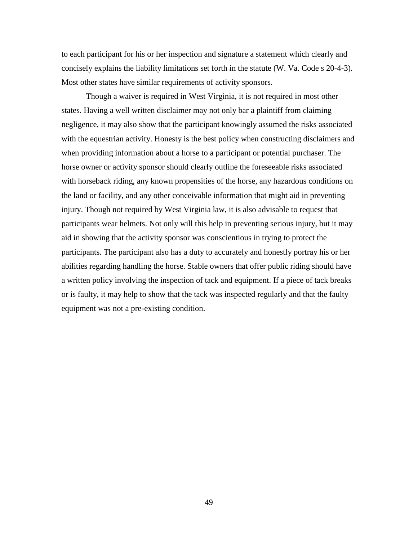to each participant for his or her inspection and signature a statement which clearly and concisely explains the liability limitations set forth in the statute (W. Va. Code s 20-4-3). Most other states have similar requirements of activity sponsors.

Though a waiver is required in West Virginia, it is not required in most other states. Having a well written disclaimer may not only bar a plaintiff from claiming negligence, it may also show that the participant knowingly assumed the risks associated with the equestrian activity. Honesty is the best policy when constructing disclaimers and when providing information about a horse to a participant or potential purchaser. The horse owner or activity sponsor should clearly outline the foreseeable risks associated with horseback riding, any known propensities of the horse, any hazardous conditions on the land or facility, and any other conceivable information that might aid in preventing injury. Though not required by West Virginia law, it is also advisable to request that participants wear helmets. Not only will this help in preventing serious injury, but it may aid in showing that the activity sponsor was conscientious in trying to protect the participants. The participant also has a duty to accurately and honestly portray his or her abilities regarding handling the horse. Stable owners that offer public riding should have a written policy involving the inspection of tack and equipment. If a piece of tack breaks or is faulty, it may help to show that the tack was inspected regularly and that the faulty equipment was not a pre-existing condition.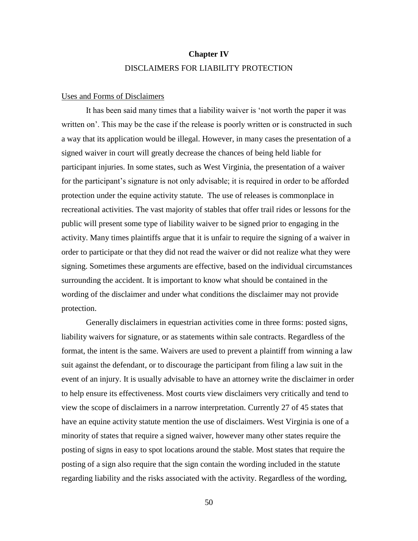# **Chapter IV** DISCLAIMERS FOR LIABILITY PROTECTION

#### Uses and Forms of Disclaimers

It has been said many times that a liability waiver is "not worth the paper it was written on'. This may be the case if the release is poorly written or is constructed in such a way that its application would be illegal. However, in many cases the presentation of a signed waiver in court will greatly decrease the chances of being held liable for participant injuries. In some states, such as West Virginia, the presentation of a waiver for the participant's signature is not only advisable; it is required in order to be afforded protection under the equine activity statute. The use of releases is commonplace in recreational activities. The vast majority of stables that offer trail rides or lessons for the public will present some type of liability waiver to be signed prior to engaging in the activity. Many times plaintiffs argue that it is unfair to require the signing of a waiver in order to participate or that they did not read the waiver or did not realize what they were signing. Sometimes these arguments are effective, based on the individual circumstances surrounding the accident. It is important to know what should be contained in the wording of the disclaimer and under what conditions the disclaimer may not provide protection.

Generally disclaimers in equestrian activities come in three forms: posted signs, liability waivers for signature, or as statements within sale contracts. Regardless of the format, the intent is the same. Waivers are used to prevent a plaintiff from winning a law suit against the defendant, or to discourage the participant from filing a law suit in the event of an injury. It is usually advisable to have an attorney write the disclaimer in order to help ensure its effectiveness. Most courts view disclaimers very critically and tend to view the scope of disclaimers in a narrow interpretation. Currently 27 of 45 states that have an equine activity statute mention the use of disclaimers. West Virginia is one of a minority of states that require a signed waiver, however many other states require the posting of signs in easy to spot locations around the stable. Most states that require the posting of a sign also require that the sign contain the wording included in the statute regarding liability and the risks associated with the activity. Regardless of the wording,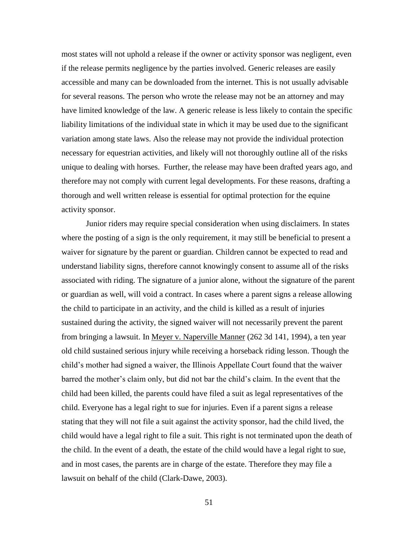most states will not uphold a release if the owner or activity sponsor was negligent, even if the release permits negligence by the parties involved. Generic releases are easily accessible and many can be downloaded from the internet. This is not usually advisable for several reasons. The person who wrote the release may not be an attorney and may have limited knowledge of the law. A generic release is less likely to contain the specific liability limitations of the individual state in which it may be used due to the significant variation among state laws. Also the release may not provide the individual protection necessary for equestrian activities, and likely will not thoroughly outline all of the risks unique to dealing with horses. Further, the release may have been drafted years ago, and therefore may not comply with current legal developments. For these reasons, drafting a thorough and well written release is essential for optimal protection for the equine activity sponsor.

Junior riders may require special consideration when using disclaimers. In states where the posting of a sign is the only requirement, it may still be beneficial to present a waiver for signature by the parent or guardian. Children cannot be expected to read and understand liability signs, therefore cannot knowingly consent to assume all of the risks associated with riding. The signature of a junior alone, without the signature of the parent or guardian as well, will void a contract. In cases where a parent signs a release allowing the child to participate in an activity, and the child is killed as a result of injuries sustained during the activity, the signed waiver will not necessarily prevent the parent from bringing a lawsuit. In Meyer v. Naperville Manner (262 3d 141, 1994), a ten year old child sustained serious injury while receiving a horseback riding lesson. Though the child"s mother had signed a waiver, the Illinois Appellate Court found that the waiver barred the mother"s claim only, but did not bar the child"s claim. In the event that the child had been killed, the parents could have filed a suit as legal representatives of the child. Everyone has a legal right to sue for injuries. Even if a parent signs a release stating that they will not file a suit against the activity sponsor, had the child lived, the child would have a legal right to file a suit. This right is not terminated upon the death of the child. In the event of a death, the estate of the child would have a legal right to sue, and in most cases, the parents are in charge of the estate. Therefore they may file a lawsuit on behalf of the child (Clark-Dawe, 2003).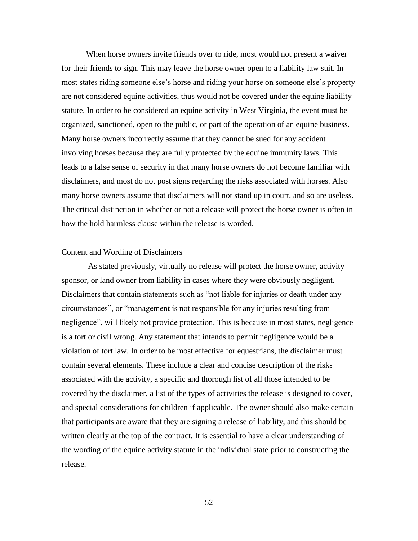When horse owners invite friends over to ride, most would not present a waiver for their friends to sign. This may leave the horse owner open to a liability law suit. In most states riding someone else's horse and riding your horse on someone else's property are not considered equine activities, thus would not be covered under the equine liability statute. In order to be considered an equine activity in West Virginia, the event must be organized, sanctioned, open to the public, or part of the operation of an equine business. Many horse owners incorrectly assume that they cannot be sued for any accident involving horses because they are fully protected by the equine immunity laws. This leads to a false sense of security in that many horse owners do not become familiar with disclaimers, and most do not post signs regarding the risks associated with horses. Also many horse owners assume that disclaimers will not stand up in court, and so are useless. The critical distinction in whether or not a release will protect the horse owner is often in how the hold harmless clause within the release is worded.

#### Content and Wording of Disclaimers

As stated previously, virtually no release will protect the horse owner, activity sponsor, or land owner from liability in cases where they were obviously negligent. Disclaimers that contain statements such as "not liable for injuries or death under any circumstances", or "management is not responsible for any injuries resulting from negligence", will likely not provide protection. This is because in most states, negligence is a tort or civil wrong. Any statement that intends to permit negligence would be a violation of tort law. In order to be most effective for equestrians, the disclaimer must contain several elements. These include a clear and concise description of the risks associated with the activity, a specific and thorough list of all those intended to be covered by the disclaimer, a list of the types of activities the release is designed to cover, and special considerations for children if applicable. The owner should also make certain that participants are aware that they are signing a release of liability, and this should be written clearly at the top of the contract. It is essential to have a clear understanding of the wording of the equine activity statute in the individual state prior to constructing the release.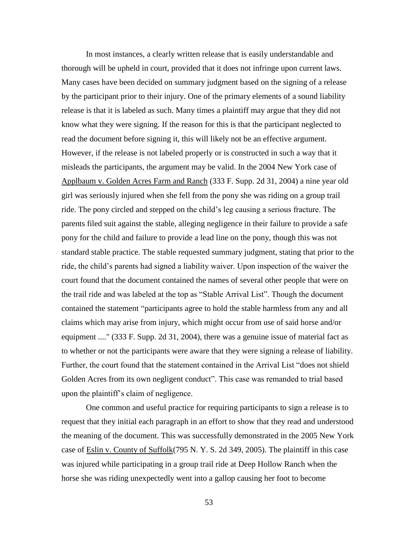In most instances, a clearly written release that is easily understandable and thorough will be upheld in court, provided that it does not infringe upon current laws. Many cases have been decided on summary judgment based on the signing of a release by the participant prior to their injury. One of the primary elements of a sound liability release is that it is labeled as such. Many times a plaintiff may argue that they did not know what they were signing. If the reason for this is that the participant neglected to read the document before signing it, this will likely not be an effective argument. However, if the release is not labeled properly or is constructed in such a way that it misleads the participants, the argument may be valid. In the 2004 New York case of Applbaum v. Golden Acres Farm and Ranch (333 F. Supp. 2d 31, 2004) a nine year old girl was seriously injured when she fell from the pony she was riding on a group trail ride. The pony circled and stepped on the child"s leg causing a serious fracture. The parents filed suit against the stable, alleging negligence in their failure to provide a safe pony for the child and failure to provide a lead line on the pony, though this was not standard stable practice. The stable requested summary judgment, stating that prior to the ride, the child"s parents had signed a liability waiver. Upon inspection of the waiver the court found that the document contained the names of several other people that were on the trail ride and was labeled at the top as "Stable Arrival List". Though the document contained the statement "participants agree to hold the stable harmless from any and all claims which may arise from injury, which might occur from use of said horse and/or equipment ...." (333 F. Supp. 2d 31, 2004), there was a genuine issue of material fact as to whether or not the participants were aware that they were signing a release of liability. Further, the court found that the statement contained in the Arrival List "does not shield Golden Acres from its own negligent conduct". This case was remanded to trial based upon the plaintiff"s claim of negligence.

One common and useful practice for requiring participants to sign a release is to request that they initial each paragraph in an effort to show that they read and understood the meaning of the document. This was successfully demonstrated in the 2005 New York case of Eslin v. County of Suffolk(795 N. Y. S. 2d 349, 2005). The plaintiff in this case was injured while participating in a group trail ride at Deep Hollow Ranch when the horse she was riding unexpectedly went into a gallop causing her foot to become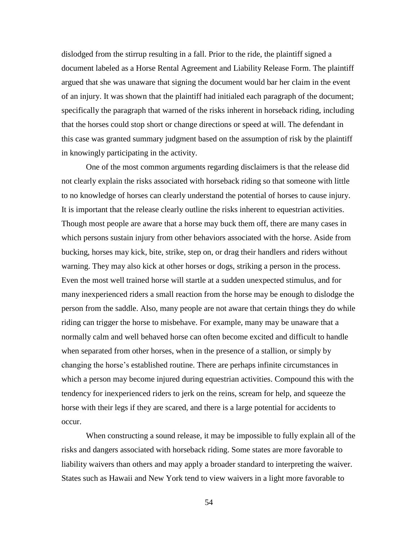dislodged from the stirrup resulting in a fall. Prior to the ride, the plaintiff signed a document labeled as a Horse Rental Agreement and Liability Release Form. The plaintiff argued that she was unaware that signing the document would bar her claim in the event of an injury. It was shown that the plaintiff had initialed each paragraph of the document; specifically the paragraph that warned of the risks inherent in horseback riding, including that the horses could stop short or change directions or speed at will. The defendant in this case was granted summary judgment based on the assumption of risk by the plaintiff in knowingly participating in the activity.

One of the most common arguments regarding disclaimers is that the release did not clearly explain the risks associated with horseback riding so that someone with little to no knowledge of horses can clearly understand the potential of horses to cause injury. It is important that the release clearly outline the risks inherent to equestrian activities. Though most people are aware that a horse may buck them off, there are many cases in which persons sustain injury from other behaviors associated with the horse. Aside from bucking, horses may kick, bite, strike, step on, or drag their handlers and riders without warning. They may also kick at other horses or dogs, striking a person in the process. Even the most well trained horse will startle at a sudden unexpected stimulus, and for many inexperienced riders a small reaction from the horse may be enough to dislodge the person from the saddle. Also, many people are not aware that certain things they do while riding can trigger the horse to misbehave. For example, many may be unaware that a normally calm and well behaved horse can often become excited and difficult to handle when separated from other horses, when in the presence of a stallion, or simply by changing the horse"s established routine. There are perhaps infinite circumstances in which a person may become injured during equestrian activities. Compound this with the tendency for inexperienced riders to jerk on the reins, scream for help, and squeeze the horse with their legs if they are scared, and there is a large potential for accidents to occur.

When constructing a sound release, it may be impossible to fully explain all of the risks and dangers associated with horseback riding. Some states are more favorable to liability waivers than others and may apply a broader standard to interpreting the waiver. States such as Hawaii and New York tend to view waivers in a light more favorable to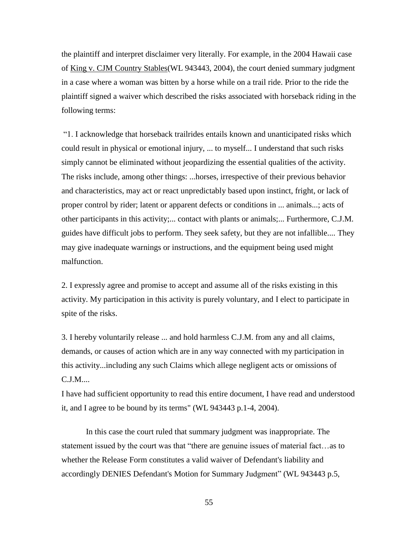the plaintiff and interpret disclaimer very literally. For example, in the 2004 Hawaii case of King v. CJM Country Stables(WL 943443, 2004), the court denied summary judgment in a case where a woman was bitten by a horse while on a trail ride. Prior to the ride the plaintiff signed a waiver which described the risks associated with horseback riding in the following terms:

"1. I acknowledge that horseback trailrides entails known and unanticipated risks which could result in physical or emotional injury, ... to myself... I understand that such risks simply cannot be eliminated without jeopardizing the essential qualities of the activity. The risks include, among other things: ...horses, irrespective of their previous behavior and characteristics, may act or react unpredictably based upon instinct, fright, or lack of proper control by rider; latent or apparent defects or conditions in ... animals...; acts of other participants in this activity;... contact with plants or animals;... Furthermore, C.J.M. guides have difficult jobs to perform. They seek safety, but they are not infallible.... They may give inadequate warnings or instructions, and the equipment being used might malfunction.

2. I expressly agree and promise to accept and assume all of the risks existing in this activity. My participation in this activity is purely voluntary, and I elect to participate in spite of the risks.

3. I hereby voluntarily release ... and hold harmless C.J.M. from any and all claims, demands, or causes of action which are in any way connected with my participation in this activity...including any such Claims which allege negligent acts or omissions of C.J.M....

I have had sufficient opportunity to read this entire document, I have read and understood it, and I agree to be bound by its terms" (WL 943443 p.1-4, 2004).

In this case the court ruled that summary judgment was inappropriate. The statement issued by the court was that "there are genuine issues of material fact…as to whether the Release Form constitutes a valid waiver of Defendant's liability and accordingly DENIES Defendant's Motion for Summary Judgment" (WL 943443 p.5,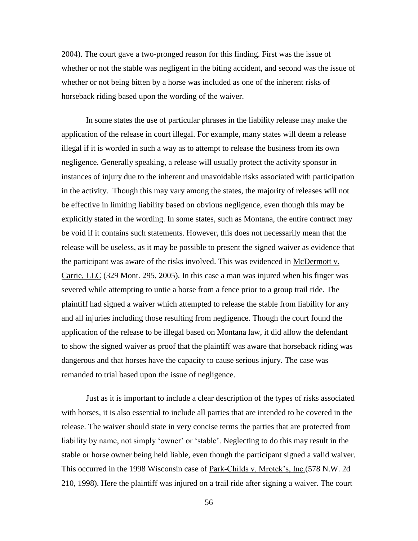2004). The court gave a two-pronged reason for this finding. First was the issue of whether or not the stable was negligent in the biting accident, and second was the issue of whether or not being bitten by a horse was included as one of the inherent risks of horseback riding based upon the wording of the waiver.

In some states the use of particular phrases in the liability release may make the application of the release in court illegal. For example, many states will deem a release illegal if it is worded in such a way as to attempt to release the business from its own negligence. Generally speaking, a release will usually protect the activity sponsor in instances of injury due to the inherent and unavoidable risks associated with participation in the activity. Though this may vary among the states, the majority of releases will not be effective in limiting liability based on obvious negligence, even though this may be explicitly stated in the wording. In some states, such as Montana, the entire contract may be void if it contains such statements. However, this does not necessarily mean that the release will be useless, as it may be possible to present the signed waiver as evidence that the participant was aware of the risks involved. This was evidenced in McDermott v. Carrie, LLC (329 Mont. 295, 2005). In this case a man was injured when his finger was severed while attempting to untie a horse from a fence prior to a group trail ride. The plaintiff had signed a waiver which attempted to release the stable from liability for any and all injuries including those resulting from negligence. Though the court found the application of the release to be illegal based on Montana law, it did allow the defendant to show the signed waiver as proof that the plaintiff was aware that horseback riding was dangerous and that horses have the capacity to cause serious injury. The case was remanded to trial based upon the issue of negligence.

Just as it is important to include a clear description of the types of risks associated with horses, it is also essential to include all parties that are intended to be covered in the release. The waiver should state in very concise terms the parties that are protected from liability by name, not simply 'owner' or 'stable'. Neglecting to do this may result in the stable or horse owner being held liable, even though the participant signed a valid waiver. This occurred in the 1998 Wisconsin case of Park-Childs v. Mrotek's, Inc.(578 N.W. 2d 210, 1998). Here the plaintiff was injured on a trail ride after signing a waiver. The court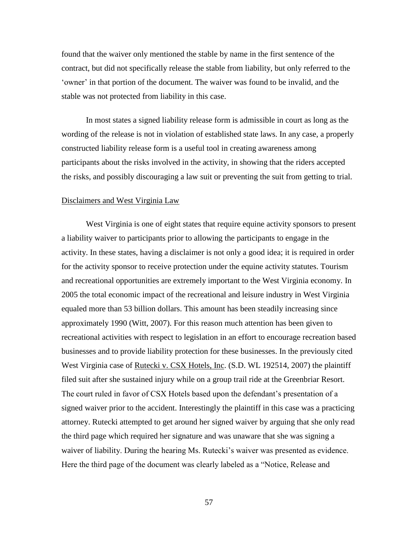found that the waiver only mentioned the stable by name in the first sentence of the contract, but did not specifically release the stable from liability, but only referred to the 'owner' in that portion of the document. The waiver was found to be invalid, and the stable was not protected from liability in this case.

In most states a signed liability release form is admissible in court as long as the wording of the release is not in violation of established state laws. In any case, a properly constructed liability release form is a useful tool in creating awareness among participants about the risks involved in the activity, in showing that the riders accepted the risks, and possibly discouraging a law suit or preventing the suit from getting to trial.

#### Disclaimers and West Virginia Law

West Virginia is one of eight states that require equine activity sponsors to present a liability waiver to participants prior to allowing the participants to engage in the activity. In these states, having a disclaimer is not only a good idea; it is required in order for the activity sponsor to receive protection under the equine activity statutes. Tourism and recreational opportunities are extremely important to the West Virginia economy. In 2005 the total economic impact of the recreational and leisure industry in West Virginia equaled more than 53 billion dollars. This amount has been steadily increasing since approximately 1990 (Witt, 2007). For this reason much attention has been given to recreational activities with respect to legislation in an effort to encourage recreation based businesses and to provide liability protection for these businesses. In the previously cited West Virginia case of Rutecki v. CSX Hotels, Inc. (S.D. WL 192514, 2007) the plaintiff filed suit after she sustained injury while on a group trail ride at the Greenbriar Resort. The court ruled in favor of CSX Hotels based upon the defendant"s presentation of a signed waiver prior to the accident. Interestingly the plaintiff in this case was a practicing attorney. Rutecki attempted to get around her signed waiver by arguing that she only read the third page which required her signature and was unaware that she was signing a waiver of liability. During the hearing Ms. Rutecki's waiver was presented as evidence. Here the third page of the document was clearly labeled as a "Notice, Release and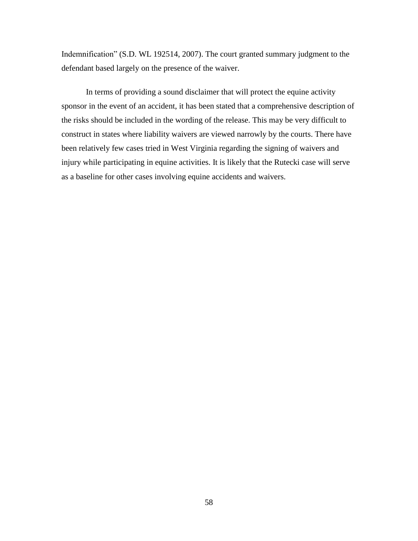Indemnification" (S.D. WL 192514, 2007). The court granted summary judgment to the defendant based largely on the presence of the waiver.

In terms of providing a sound disclaimer that will protect the equine activity sponsor in the event of an accident, it has been stated that a comprehensive description of the risks should be included in the wording of the release. This may be very difficult to construct in states where liability waivers are viewed narrowly by the courts. There have been relatively few cases tried in West Virginia regarding the signing of waivers and injury while participating in equine activities. It is likely that the Rutecki case will serve as a baseline for other cases involving equine accidents and waivers.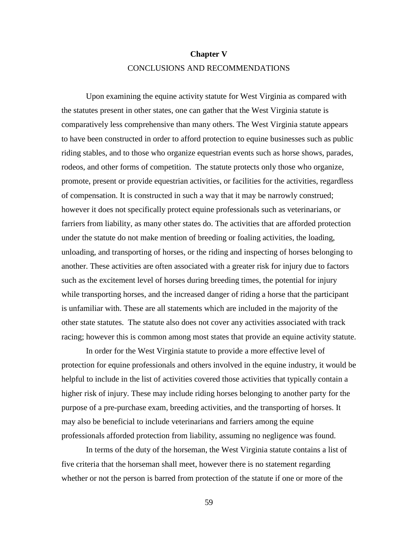# **Chapter V** CONCLUSIONS AND RECOMMENDATIONS

Upon examining the equine activity statute for West Virginia as compared with the statutes present in other states, one can gather that the West Virginia statute is comparatively less comprehensive than many others. The West Virginia statute appears to have been constructed in order to afford protection to equine businesses such as public riding stables, and to those who organize equestrian events such as horse shows, parades, rodeos, and other forms of competition. The statute protects only those who organize, promote, present or provide equestrian activities, or facilities for the activities, regardless of compensation. It is constructed in such a way that it may be narrowly construed; however it does not specifically protect equine professionals such as veterinarians, or farriers from liability, as many other states do. The activities that are afforded protection under the statute do not make mention of breeding or foaling activities, the loading, unloading, and transporting of horses, or the riding and inspecting of horses belonging to another. These activities are often associated with a greater risk for injury due to factors such as the excitement level of horses during breeding times, the potential for injury while transporting horses, and the increased danger of riding a horse that the participant is unfamiliar with. These are all statements which are included in the majority of the other state statutes. The statute also does not cover any activities associated with track racing; however this is common among most states that provide an equine activity statute.

In order for the West Virginia statute to provide a more effective level of protection for equine professionals and others involved in the equine industry, it would be helpful to include in the list of activities covered those activities that typically contain a higher risk of injury. These may include riding horses belonging to another party for the purpose of a pre-purchase exam, breeding activities, and the transporting of horses. It may also be beneficial to include veterinarians and farriers among the equine professionals afforded protection from liability, assuming no negligence was found.

In terms of the duty of the horseman, the West Virginia statute contains a list of five criteria that the horseman shall meet, however there is no statement regarding whether or not the person is barred from protection of the statute if one or more of the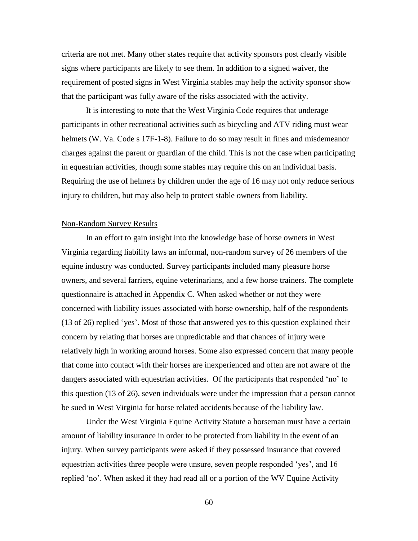criteria are not met. Many other states require that activity sponsors post clearly visible signs where participants are likely to see them. In addition to a signed waiver, the requirement of posted signs in West Virginia stables may help the activity sponsor show that the participant was fully aware of the risks associated with the activity.

It is interesting to note that the West Virginia Code requires that underage participants in other recreational activities such as bicycling and ATV riding must wear helmets (W. Va. Code s 17F-1-8). Failure to do so may result in fines and misdemeanor charges against the parent or guardian of the child. This is not the case when participating in equestrian activities, though some stables may require this on an individual basis. Requiring the use of helmets by children under the age of 16 may not only reduce serious injury to children, but may also help to protect stable owners from liability.

#### Non-Random Survey Results

In an effort to gain insight into the knowledge base of horse owners in West Virginia regarding liability laws an informal, non-random survey of 26 members of the equine industry was conducted. Survey participants included many pleasure horse owners, and several farriers, equine veterinarians, and a few horse trainers. The complete questionnaire is attached in Appendix C. When asked whether or not they were concerned with liability issues associated with horse ownership, half of the respondents (13 of 26) replied "yes". Most of those that answered yes to this question explained their concern by relating that horses are unpredictable and that chances of injury were relatively high in working around horses. Some also expressed concern that many people that come into contact with their horses are inexperienced and often are not aware of the dangers associated with equestrian activities. Of the participants that responded 'no' to this question (13 of 26), seven individuals were under the impression that a person cannot be sued in West Virginia for horse related accidents because of the liability law.

Under the West Virginia Equine Activity Statute a horseman must have a certain amount of liability insurance in order to be protected from liability in the event of an injury. When survey participants were asked if they possessed insurance that covered equestrian activities three people were unsure, seven people responded 'yes', and 16 replied "no". When asked if they had read all or a portion of the WV Equine Activity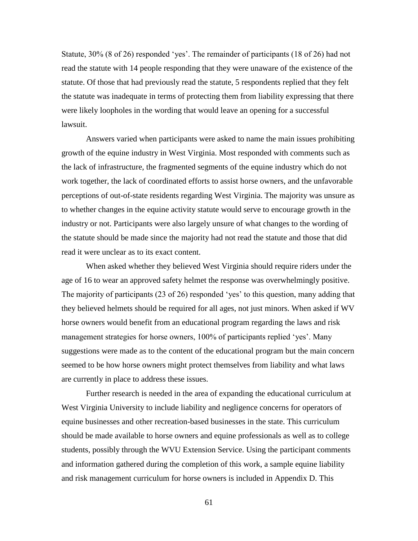Statute, 30% (8 of 26) responded 'yes'. The remainder of participants (18 of 26) had not read the statute with 14 people responding that they were unaware of the existence of the statute. Of those that had previously read the statute, 5 respondents replied that they felt the statute was inadequate in terms of protecting them from liability expressing that there were likely loopholes in the wording that would leave an opening for a successful lawsuit.

Answers varied when participants were asked to name the main issues prohibiting growth of the equine industry in West Virginia. Most responded with comments such as the lack of infrastructure, the fragmented segments of the equine industry which do not work together, the lack of coordinated efforts to assist horse owners, and the unfavorable perceptions of out-of-state residents regarding West Virginia. The majority was unsure as to whether changes in the equine activity statute would serve to encourage growth in the industry or not. Participants were also largely unsure of what changes to the wording of the statute should be made since the majority had not read the statute and those that did read it were unclear as to its exact content.

When asked whether they believed West Virginia should require riders under the age of 16 to wear an approved safety helmet the response was overwhelmingly positive. The majority of participants (23 of 26) responded 'yes' to this question, many adding that they believed helmets should be required for all ages, not just minors. When asked if WV horse owners would benefit from an educational program regarding the laws and risk management strategies for horse owners, 100% of participants replied 'yes'. Many suggestions were made as to the content of the educational program but the main concern seemed to be how horse owners might protect themselves from liability and what laws are currently in place to address these issues.

Further research is needed in the area of expanding the educational curriculum at West Virginia University to include liability and negligence concerns for operators of equine businesses and other recreation-based businesses in the state. This curriculum should be made available to horse owners and equine professionals as well as to college students, possibly through the WVU Extension Service. Using the participant comments and information gathered during the completion of this work, a sample equine liability and risk management curriculum for horse owners is included in Appendix D. This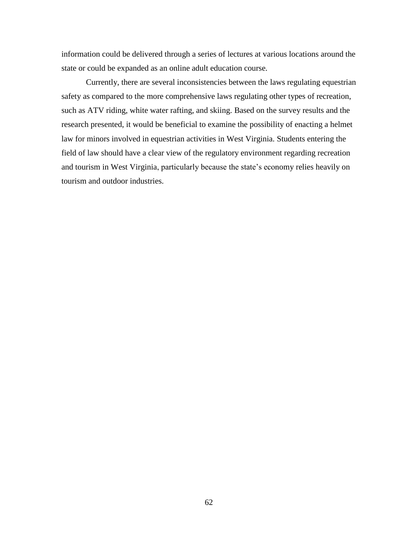information could be delivered through a series of lectures at various locations around the state or could be expanded as an online adult education course.

Currently, there are several inconsistencies between the laws regulating equestrian safety as compared to the more comprehensive laws regulating other types of recreation, such as ATV riding, white water rafting, and skiing. Based on the survey results and the research presented, it would be beneficial to examine the possibility of enacting a helmet law for minors involved in equestrian activities in West Virginia. Students entering the field of law should have a clear view of the regulatory environment regarding recreation and tourism in West Virginia, particularly because the state"s economy relies heavily on tourism and outdoor industries.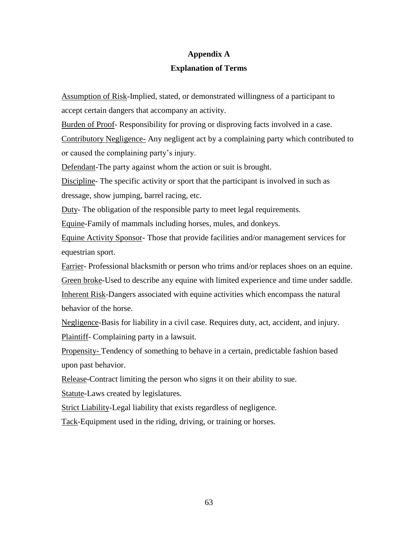# **Appendix A**

### **Explanation of Terms**

Assumption of Risk-Implied, stated, or demonstrated willingness of a participant to accept certain dangers that accompany an activity.

Burden of Proof- Responsibility for proving or disproving facts involved in a case.

Contributory Negligence- Any negligent act by a complaining party which contributed to or caused the complaining party"s injury.

Defendant-The party against whom the action or suit is brought.

Discipline- The specific activity or sport that the participant is involved in such as dressage, show jumping, barrel racing, etc.

Duty- The obligation of the responsible party to meet legal requirements.

Equine-Family of mammals including horses, mules, and donkeys.

Equine Activity Sponsor- Those that provide facilities and/or management services for equestrian sport.

Farrier-Professional blacksmith or person who trims and/or replaces shoes on an equine. Green broke-Used to describe any equine with limited experience and time under saddle. Inherent Risk-Dangers associated with equine activities which encompass the natural behavior of the horse.

Negligence-Basis for liability in a civil case. Requires duty, act, accident, and injury. Plaintiff- Complaining party in a lawsuit.

Propensity- Tendency of something to behave in a certain, predictable fashion based upon past behavior.

Release-Contract limiting the person who signs it on their ability to sue.

Statute-Laws created by legislatures.

Strict Liability-Legal liability that exists regardless of negligence.

Tack-Equipment used in the riding, driving, or training or horses.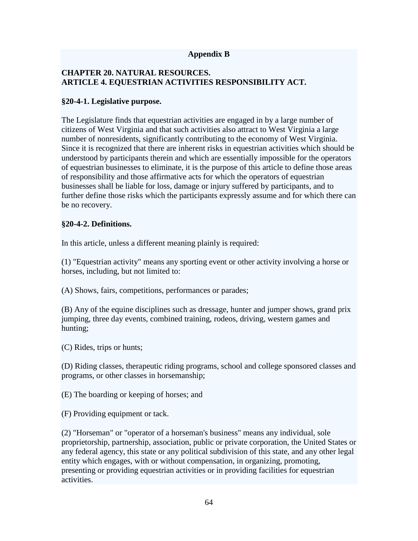### **Appendix B**

### **CHAPTER 20. NATURAL RESOURCES. ARTICLE 4. EQUESTRIAN ACTIVITIES RESPONSIBILITY ACT.**

### **§20-4-1. Legislative purpose.**

The Legislature finds that equestrian activities are engaged in by a large number of citizens of West Virginia and that such activities also attract to West Virginia a large number of nonresidents, significantly contributing to the economy of West Virginia. Since it is recognized that there are inherent risks in equestrian activities which should be understood by participants therein and which are essentially impossible for the operators of equestrian businesses to eliminate, it is the purpose of this article to define those areas of responsibility and those affirmative acts for which the operators of equestrian businesses shall be liable for loss, damage or injury suffered by participants, and to further define those risks which the participants expressly assume and for which there can be no recovery.

### **§20-4-2. Definitions.**

In this article, unless a different meaning plainly is required:

(1) "Equestrian activity" means any sporting event or other activity involving a horse or horses, including, but not limited to:

(A) Shows, fairs, competitions, performances or parades;

(B) Any of the equine disciplines such as dressage, hunter and jumper shows, grand prix jumping, three day events, combined training, rodeos, driving, western games and hunting;

(C) Rides, trips or hunts;

(D) Riding classes, therapeutic riding programs, school and college sponsored classes and programs, or other classes in horsemanship;

(E) The boarding or keeping of horses; and

(F) Providing equipment or tack.

(2) "Horseman" or "operator of a horseman's business" means any individual, sole proprietorship, partnership, association, public or private corporation, the United States or any federal agency, this state or any political subdivision of this state, and any other legal entity which engages, with or without compensation, in organizing, promoting, presenting or providing equestrian activities or in providing facilities for equestrian activities.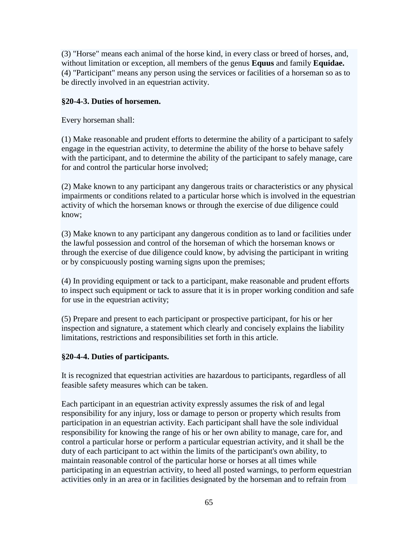(3) "Horse" means each animal of the horse kind, in every class or breed of horses, and, without limitation or exception, all members of the genus **Equus** and family **Equidae.** (4) "Participant" means any person using the services or facilities of a horseman so as to be directly involved in an equestrian activity.

## **§20-4-3. Duties of horsemen.**

Every horseman shall:

(1) Make reasonable and prudent efforts to determine the ability of a participant to safely engage in the equestrian activity, to determine the ability of the horse to behave safely with the participant, and to determine the ability of the participant to safely manage, care for and control the particular horse involved;

(2) Make known to any participant any dangerous traits or characteristics or any physical impairments or conditions related to a particular horse which is involved in the equestrian activity of which the horseman knows or through the exercise of due diligence could know;

(3) Make known to any participant any dangerous condition as to land or facilities under the lawful possession and control of the horseman of which the horseman knows or through the exercise of due diligence could know, by advising the participant in writing or by conspicuously posting warning signs upon the premises;

(4) In providing equipment or tack to a participant, make reasonable and prudent efforts to inspect such equipment or tack to assure that it is in proper working condition and safe for use in the equestrian activity;

(5) Prepare and present to each participant or prospective participant, for his or her inspection and signature, a statement which clearly and concisely explains the liability limitations, restrictions and responsibilities set forth in this article.

### **§20-4-4. Duties of participants.**

It is recognized that equestrian activities are hazardous to participants, regardless of all feasible safety measures which can be taken.

Each participant in an equestrian activity expressly assumes the risk of and legal responsibility for any injury, loss or damage to person or property which results from participation in an equestrian activity. Each participant shall have the sole individual responsibility for knowing the range of his or her own ability to manage, care for, and control a particular horse or perform a particular equestrian activity, and it shall be the duty of each participant to act within the limits of the participant's own ability, to maintain reasonable control of the particular horse or horses at all times while participating in an equestrian activity, to heed all posted warnings, to perform equestrian activities only in an area or in facilities designated by the horseman and to refrain from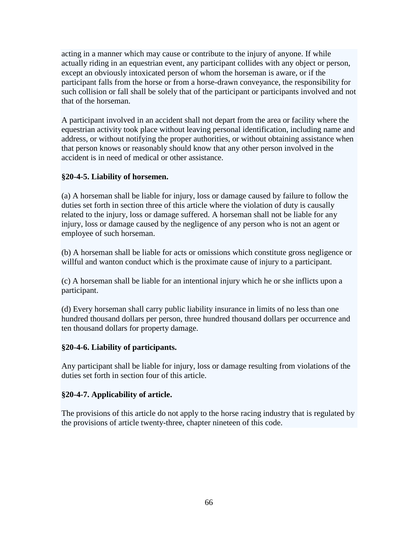acting in a manner which may cause or contribute to the injury of anyone. If while actually riding in an equestrian event, any participant collides with any object or person, except an obviously intoxicated person of whom the horseman is aware, or if the participant falls from the horse or from a horse-drawn conveyance, the responsibility for such collision or fall shall be solely that of the participant or participants involved and not that of the horseman.

A participant involved in an accident shall not depart from the area or facility where the equestrian activity took place without leaving personal identification, including name and address, or without notifying the proper authorities, or without obtaining assistance when that person knows or reasonably should know that any other person involved in the accident is in need of medical or other assistance.

# **§20-4-5. Liability of horsemen.**

(a) A horseman shall be liable for injury, loss or damage caused by failure to follow the duties set forth in section three of this article where the violation of duty is causally related to the injury, loss or damage suffered. A horseman shall not be liable for any injury, loss or damage caused by the negligence of any person who is not an agent or employee of such horseman.

(b) A horseman shall be liable for acts or omissions which constitute gross negligence or willful and wanton conduct which is the proximate cause of injury to a participant.

(c) A horseman shall be liable for an intentional injury which he or she inflicts upon a participant.

(d) Every horseman shall carry public liability insurance in limits of no less than one hundred thousand dollars per person, three hundred thousand dollars per occurrence and ten thousand dollars for property damage.

# **§20-4-6. Liability of participants.**

Any participant shall be liable for injury, loss or damage resulting from violations of the duties set forth in section four of this article.

### **§20-4-7. Applicability of article.**

The provisions of this article do not apply to the horse racing industry that is regulated by the provisions of article twenty-three, chapter nineteen of this code.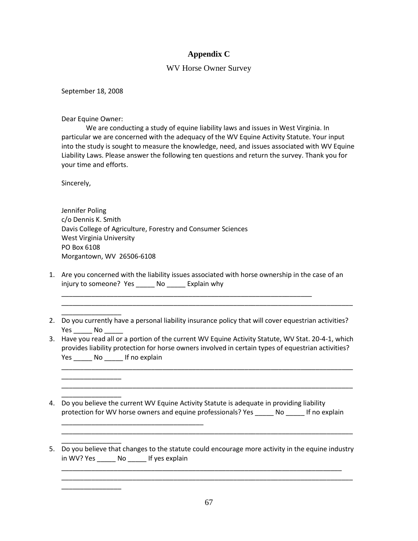### **Appendix C**

#### WV Horse Owner Survey

September 18, 2008

Dear Equine Owner:

\_\_\_\_\_\_\_\_\_\_\_\_\_\_\_\_

\_\_\_\_\_\_\_\_\_\_\_\_\_\_\_\_

\_\_\_\_\_\_\_\_\_\_\_\_\_\_\_\_

\_\_\_\_\_\_\_\_\_\_\_\_\_\_\_\_

\_\_\_\_\_\_\_\_\_\_\_\_\_\_\_\_

\_\_\_\_\_\_\_\_\_\_\_\_\_\_\_\_\_\_\_\_\_\_\_\_\_\_\_\_\_\_\_\_\_\_\_\_\_\_

We are conducting a study of equine liability laws and issues in West Virginia. In particular we are concerned with the adequacy of the WV Equine Activity Statute. Your input into the study is sought to measure the knowledge, need, and issues associated with WV Equine Liability Laws. Please answer the following ten questions and return the survey. Thank you for your time and efforts.

Sincerely,

Jennifer Poling c/o Dennis K. Smith Davis College of Agriculture, Forestry and Consumer Sciences West Virginia University PO Box 6108 Morgantown, WV 26506-6108

1. Are you concerned with the liability issues associated with horse ownership in the case of an injury to someone? Yes \_\_\_\_\_ No \_\_\_\_\_ Explain why

\_\_\_\_\_\_\_\_\_\_\_\_\_\_\_\_\_\_\_\_\_\_\_\_\_\_\_\_\_\_\_\_\_\_\_\_\_\_\_\_\_\_\_\_\_\_\_\_\_\_\_\_\_\_\_\_\_\_\_\_\_\_\_\_\_\_\_

2. Do you currently have a personal liability insurance policy that will cover equestrian activities? Yes No

\_\_\_\_\_\_\_\_\_\_\_\_\_\_\_\_\_\_\_\_\_\_\_\_\_\_\_\_\_\_\_\_\_\_\_\_\_\_\_\_\_\_\_\_\_\_\_\_\_\_\_\_\_\_\_\_\_\_\_\_\_\_\_\_\_\_\_\_\_\_\_\_\_\_\_\_\_\_

3. Have you read all or a portion of the current WV Equine Activity Statute, WV Stat. 20-4-1, which provides liability protection for horse owners involved in certain types of equestrian activities? Yes No If no explain

\_\_\_\_\_\_\_\_\_\_\_\_\_\_\_\_\_\_\_\_\_\_\_\_\_\_\_\_\_\_\_\_\_\_\_\_\_\_\_\_\_\_\_\_\_\_\_\_\_\_\_\_\_\_\_\_\_\_\_\_\_\_\_\_\_\_\_\_\_\_\_\_\_\_\_\_\_\_

\_\_\_\_\_\_\_\_\_\_\_\_\_\_\_\_\_\_\_\_\_\_\_\_\_\_\_\_\_\_\_\_\_\_\_\_\_\_\_\_\_\_\_\_\_\_\_\_\_\_\_\_\_\_\_\_\_\_\_\_\_\_\_\_\_\_\_\_\_\_\_\_\_\_\_\_\_\_

\_\_\_\_\_\_\_\_\_\_\_\_\_\_\_\_\_\_\_\_\_\_\_\_\_\_\_\_\_\_\_\_\_\_\_\_\_\_\_\_\_\_\_\_\_\_\_\_\_\_\_\_\_\_\_\_\_\_\_\_\_\_\_\_\_\_\_\_\_\_\_\_\_\_\_\_\_\_

- 4. Do you believe the current WV Equine Activity Statute is adequate in providing liability protection for WV horse owners and equine professionals? Yes \_\_\_\_\_ No \_\_\_\_\_ If no explain
- 5. Do you believe that changes to the statute could encourage more activity in the equine industry in WV? Yes \_\_\_\_\_ No \_\_\_\_\_ If yes explain

\_\_\_\_\_\_\_\_\_\_\_\_\_\_\_\_\_\_\_\_\_\_\_\_\_\_\_\_\_\_\_\_\_\_\_\_\_\_\_\_\_\_\_\_\_\_\_\_\_\_\_\_\_\_\_\_\_\_\_\_\_\_\_\_\_\_\_\_\_\_\_\_\_\_\_ \_\_\_\_\_\_\_\_\_\_\_\_\_\_\_\_\_\_\_\_\_\_\_\_\_\_\_\_\_\_\_\_\_\_\_\_\_\_\_\_\_\_\_\_\_\_\_\_\_\_\_\_\_\_\_\_\_\_\_\_\_\_\_\_\_\_\_\_\_\_\_\_\_\_\_\_\_\_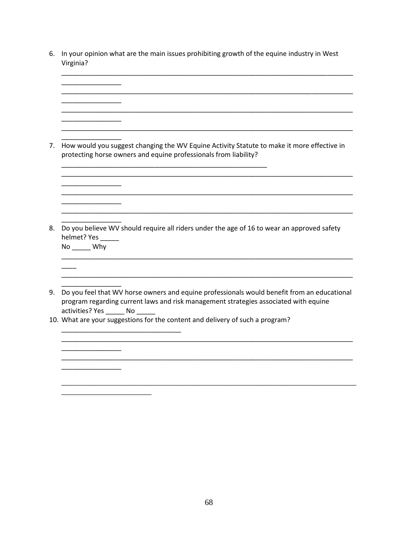6. In your opinion what are the main issues prohibiting growth of the equine industry in West Virginia?

\_\_\_\_\_\_\_\_\_\_\_\_\_\_\_\_\_\_\_\_\_\_\_\_\_\_\_\_\_\_\_\_\_\_\_\_\_\_\_\_\_\_\_\_\_\_\_\_\_\_\_\_\_\_\_\_\_\_\_\_\_\_\_\_\_\_\_\_\_\_\_\_\_\_\_\_\_\_

\_\_\_\_\_\_\_\_\_\_\_\_\_\_\_\_ \_\_\_\_\_\_\_\_\_\_\_\_\_\_\_\_\_\_\_\_\_\_\_\_\_\_\_\_\_\_\_\_\_\_\_\_\_\_\_\_\_\_\_\_\_\_\_\_\_\_\_\_\_\_\_\_\_\_\_\_\_\_\_\_\_\_\_\_\_\_\_\_\_\_\_\_\_\_ \_\_\_\_\_\_\_\_\_\_\_\_\_\_\_\_ \_\_\_\_\_\_\_\_\_\_\_\_\_\_\_\_\_\_\_\_\_\_\_\_\_\_\_\_\_\_\_\_\_\_\_\_\_\_\_\_\_\_\_\_\_\_\_\_\_\_\_\_\_\_\_\_\_\_\_\_\_\_\_\_\_\_\_\_\_\_\_\_\_\_\_\_\_\_ \_\_\_\_\_\_\_\_\_\_\_\_\_\_\_\_ \_\_\_\_\_\_\_\_\_\_\_\_\_\_\_\_\_\_\_\_\_\_\_\_\_\_\_\_\_\_\_\_\_\_\_\_\_\_\_\_\_\_\_\_\_\_\_\_\_\_\_\_\_\_\_\_\_\_\_\_\_\_\_\_\_\_\_\_\_\_\_\_\_\_\_\_\_\_ \_\_\_\_\_\_\_\_\_\_\_\_\_\_\_\_ 7. How would you suggest changing the WV Equine Activity Statute to make it more effective in protecting horse owners and equine professionals from liability? \_\_\_\_\_\_\_\_\_\_\_\_\_\_\_\_\_\_\_\_\_\_\_\_\_\_\_\_\_\_\_\_\_\_\_\_\_\_\_\_\_\_\_\_\_\_\_\_\_\_\_\_\_\_\_ \_\_\_\_\_\_\_\_\_\_\_\_\_\_\_\_\_\_\_\_\_\_\_\_\_\_\_\_\_\_\_\_\_\_\_\_\_\_\_\_\_\_\_\_\_\_\_\_\_\_\_\_\_\_\_\_\_\_\_\_\_\_\_\_\_\_\_\_\_\_\_\_\_\_\_\_\_\_ \_\_\_\_\_\_\_\_\_\_\_\_\_\_\_\_ \_\_\_\_\_\_\_\_\_\_\_\_\_\_\_\_\_\_\_\_\_\_\_\_\_\_\_\_\_\_\_\_\_\_\_\_\_\_\_\_\_\_\_\_\_\_\_\_\_\_\_\_\_\_\_\_\_\_\_\_\_\_\_\_\_\_\_\_\_\_\_\_\_\_\_\_\_\_ \_\_\_\_\_\_\_\_\_\_\_\_\_\_\_\_ \_\_\_\_\_\_\_\_\_\_\_\_\_\_\_\_\_\_\_\_\_\_\_\_\_\_\_\_\_\_\_\_\_\_\_\_\_\_\_\_\_\_\_\_\_\_\_\_\_\_\_\_\_\_\_\_\_\_\_\_\_\_\_\_\_\_\_\_\_\_\_\_\_\_\_\_\_\_ \_\_\_\_\_\_\_\_\_\_\_\_\_\_\_\_ 8. Do you believe WV should require all riders under the age of 16 to wear an approved safety helmet? Yes No \_\_\_\_\_ Why \_\_\_\_\_\_\_\_\_\_\_\_\_\_\_\_\_\_\_\_\_\_\_\_\_\_\_\_\_\_\_\_\_\_\_\_\_\_\_\_\_\_\_\_\_\_\_\_\_\_\_\_\_\_\_\_\_\_\_\_\_\_\_\_\_\_\_\_\_\_\_\_\_\_\_\_\_\_  $\overline{\phantom{a}}$ \_\_\_\_\_\_\_\_\_\_\_\_\_\_\_\_\_\_\_\_\_\_\_\_\_\_\_\_\_\_\_\_\_\_\_\_\_\_\_\_\_\_\_\_\_\_\_\_\_\_\_\_\_\_\_\_\_\_\_\_\_\_\_\_\_\_\_\_\_\_\_\_\_\_\_\_\_\_ \_\_\_\_\_\_\_\_\_\_\_\_\_\_\_\_ 9. Do you feel that WV horse owners and equine professionals would benefit from an educational program regarding current laws and risk management strategies associated with equine activities? Yes \_\_\_\_\_ No \_\_\_\_\_ 10. What are your suggestions for the content and delivery of such a program? \_\_\_\_\_\_\_\_\_\_\_\_\_\_\_\_\_\_\_\_\_\_\_\_\_\_\_\_\_\_\_\_ \_\_\_\_\_\_\_\_\_\_\_\_\_\_\_\_\_\_\_\_\_\_\_\_\_\_\_\_\_\_\_\_\_\_\_\_\_\_\_\_\_\_\_\_\_\_\_\_\_\_\_\_\_\_\_\_\_\_\_\_\_\_\_\_\_\_\_\_\_\_\_\_\_\_\_\_\_\_ \_\_\_\_\_\_\_\_\_\_\_\_\_\_\_\_ \_\_\_\_\_\_\_\_\_\_\_\_\_\_\_\_\_\_\_\_\_\_\_\_\_\_\_\_\_\_\_\_\_\_\_\_\_\_\_\_\_\_\_\_\_\_\_\_\_\_\_\_\_\_\_\_\_\_\_\_\_\_\_\_\_\_\_\_\_\_\_\_\_\_\_\_\_\_ \_\_\_\_\_\_\_\_\_\_\_\_\_\_\_\_ \_\_\_\_\_\_\_\_\_\_\_\_\_\_\_\_\_\_\_\_\_\_\_\_\_\_\_\_\_\_\_\_\_\_\_\_\_\_\_\_\_\_\_\_\_\_\_\_\_\_\_\_\_\_\_\_\_\_\_\_\_\_\_\_\_\_\_\_\_\_\_\_ \_\_\_\_\_\_\_\_\_\_\_\_\_\_\_\_\_\_\_\_\_\_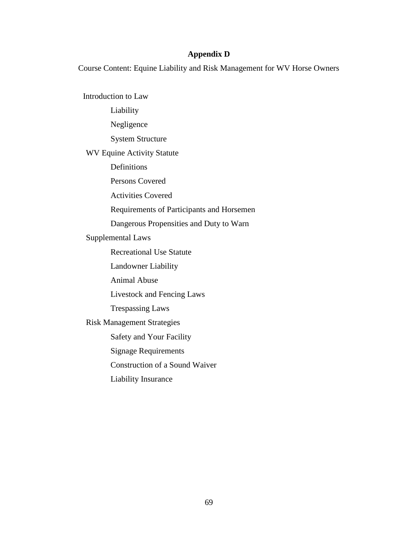## **Appendix D**

Course Content: Equine Liability and Risk Management for WV Horse Owners

Introduction to Law Liability Negligence System Structure WV Equine Activity Statute Definitions Persons Covered Activities Covered Requirements of Participants and Horsemen Dangerous Propensities and Duty to Warn Supplemental Laws Recreational Use Statute Landowner Liability Animal Abuse Livestock and Fencing Laws Trespassing Laws Risk Management Strategies Safety and Your Facility Signage Requirements Construction of a Sound Waiver Liability Insurance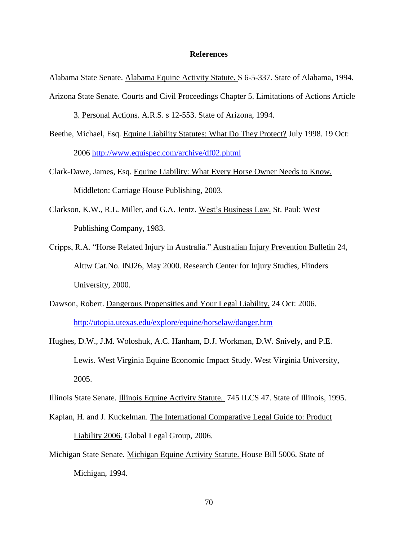## **References**

Alabama State Senate. Alabama Equine Activity Statute. S 6-5-337. State of Alabama, 1994.

Arizona State Senate. Courts and Civil Proceedings Chapter 5. Limitations of Actions Article

3. Personal Actions. A.R.S. s 12-553. State of Arizona, 1994.

- Beethe, Michael, Esq. Equine Liability Statutes: What Do They Protect? July 1998. 19 Oct: 2006<http://www.equispec.com/archive/df02.phtml>
- Clark-Dawe, James, Esq. Equine Liability: What Every Horse Owner Needs to Know. Middleton: Carriage House Publishing, 2003.
- Clarkson, K.W., R.L. Miller, and G.A. Jentz. West"s Business Law. St. Paul: West Publishing Company, 1983.
- Cripps, R.A. "Horse Related Injury in Australia." Australian Injury Prevention Bulletin 24, Alttw Cat.No. INJ26, May 2000. Research Center for Injury Studies, Flinders University, 2000.
- Dawson, Robert. Dangerous Propensities and Your Legal Liability. 24 Oct: 2006. <http://utopia.utexas.edu/explore/equine/horselaw/danger.htm>
- Hughes, D.W., J.M. Woloshuk, A.C. Hanham, D.J. Workman, D.W. Snively, and P.E. Lewis. West Virginia Equine Economic Impact Study. West Virginia University, 2005.

Illinois State Senate. Illinois Equine Activity Statute. 745 ILCS 47. State of Illinois, 1995.

- Kaplan, H. and J. Kuckelman. The International Comparative Legal Guide to: Product Liability 2006. Global Legal Group, 2006.
- Michigan State Senate. Michigan Equine Activity Statute. House Bill 5006. State of Michigan, 1994.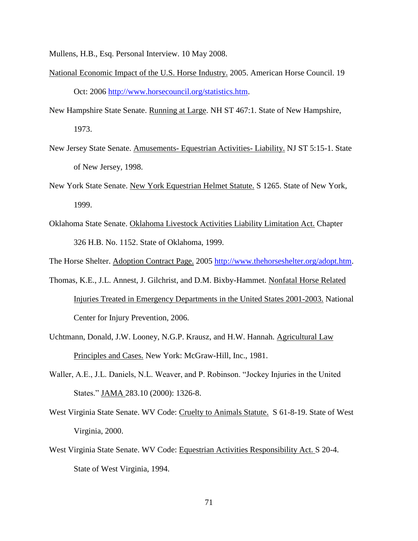Mullens, H.B., Esq. Personal Interview. 10 May 2008.

- National Economic Impact of the U.S. Horse Industry. 2005. American Horse Council. 19 Oct: 2006 [http://www.horsecouncil.org/statistics.htm.](http://www.horsecouncil.org/statistics.htm)
- New Hampshire State Senate. Running at Large. NH ST 467:1. State of New Hampshire, 1973.
- New Jersey State Senate. Amusements- Equestrian Activities- Liability. NJ ST 5:15-1. State of New Jersey, 1998.
- New York State Senate. New York Equestrian Helmet Statute. S 1265. State of New York, 1999.
- Oklahoma State Senate. Oklahoma Livestock Activities Liability Limitation Act. Chapter 326 H.B. No. 1152. State of Oklahoma, 1999.

The Horse Shelter. Adoption Contract Page. 2005 [http://www.thehorseshelter.org/adopt.htm.](http://www.thehorseshelter.org/adopt.htm)

- Thomas, K.E., J.L. Annest, J. Gilchrist, and D.M. Bixby-Hammet. Nonfatal Horse Related Injuries Treated in Emergency Departments in the United States 2001-2003. National Center for Injury Prevention, 2006.
- Uchtmann, Donald, J.W. Looney, N.G.P. Krausz, and H.W. Hannah. Agricultural Law Principles and Cases. New York: McGraw-Hill, Inc., 1981.
- Waller, A.E., J.L. Daniels, N.L. Weaver, and P. Robinson. "Jockey Injuries in the United States." **JAMA 283.10 (2000): 1326-8.**
- West Virginia State Senate. WV Code: Cruelty to Animals Statute. S 61-8-19. State of West Virginia, 2000.
- West Virginia State Senate. WV Code: Equestrian Activities Responsibility Act. S 20-4. State of West Virginia, 1994.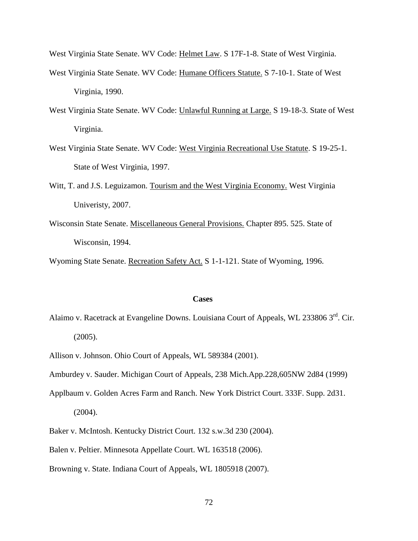West Virginia State Senate. WV Code: Helmet Law. S 17F-1-8. State of West Virginia.

- West Virginia State Senate. WV Code: Humane Officers Statute. S 7-10-1. State of West Virginia, 1990.
- West Virginia State Senate. WV Code: Unlawful Running at Large. S 19-18-3. State of West Virginia.
- West Virginia State Senate. WV Code: West Virginia Recreational Use Statute. S 19-25-1. State of West Virginia, 1997.
- Witt, T. and J.S. Leguizamon. Tourism and the West Virginia Economy. West Virginia Univeristy, 2007.
- Wisconsin State Senate. Miscellaneous General Provisions. Chapter 895. 525. State of Wisconsin, 1994.

Wyoming State Senate. Recreation Safety Act. S 1-1-121. State of Wyoming, 1996.

## **Cases**

- Alaimo v. Racetrack at Evangeline Downs. Louisiana Court of Appeals, WL 233806 3<sup>rd</sup>. Cir. (2005).
- Allison v. Johnson. Ohio Court of Appeals, WL 589384 (2001).

Amburdey v. Sauder. Michigan Court of Appeals, 238 Mich.App.228,605NW 2d84 (1999)

- Applbaum v. Golden Acres Farm and Ranch. New York District Court. 333F. Supp. 2d31. (2004).
- Baker v. McIntosh. Kentucky District Court. 132 s.w.3d 230 (2004).
- Balen v. Peltier. Minnesota Appellate Court. WL 163518 (2006).
- Browning v. State. Indiana Court of Appeals, WL 1805918 (2007).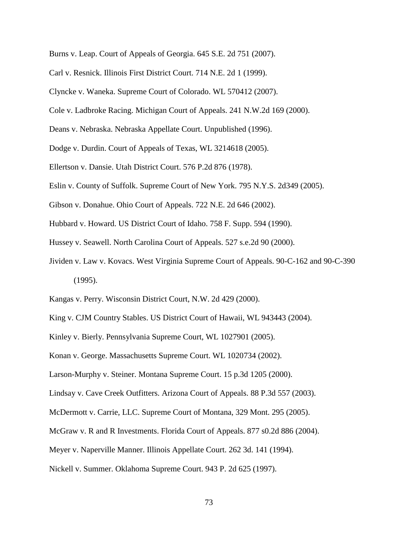- Burns v. Leap. Court of Appeals of Georgia. 645 S.E. 2d 751 (2007).
- Carl v. Resnick. Illinois First District Court. 714 N.E. 2d 1 (1999).
- Clyncke v. Waneka. Supreme Court of Colorado. WL 570412 (2007).
- Cole v. Ladbroke Racing. Michigan Court of Appeals. 241 N.W.2d 169 (2000).
- Deans v. Nebraska. Nebraska Appellate Court. Unpublished (1996).
- Dodge v. Durdin. Court of Appeals of Texas, WL 3214618 (2005).
- Ellertson v. Dansie. Utah District Court. 576 P.2d 876 (1978).
- Eslin v. County of Suffolk. Supreme Court of New York. 795 N.Y.S. 2d349 (2005).
- Gibson v. Donahue. Ohio Court of Appeals. 722 N.E. 2d 646 (2002).
- Hubbard v. Howard. US District Court of Idaho. 758 F. Supp. 594 (1990).
- Hussey v. Seawell. North Carolina Court of Appeals. 527 s.e.2d 90 (2000).
- Jividen v. Law v. Kovacs. West Virginia Supreme Court of Appeals. 90-C-162 and 90-C-390 (1995).
- Kangas v. Perry. Wisconsin District Court, N.W. 2d 429 (2000).
- King v. CJM Country Stables. US District Court of Hawaii, WL 943443 (2004).

Kinley v. Bierly. Pennsylvania Supreme Court, WL 1027901 (2005).

Konan v. George. Massachusetts Supreme Court. WL 1020734 (2002).

Larson-Murphy v. Steiner. Montana Supreme Court. 15 p.3d 1205 (2000).

Lindsay v. Cave Creek Outfitters. Arizona Court of Appeals. 88 P.3d 557 (2003).

McDermott v. Carrie, LLC. Supreme Court of Montana, 329 Mont. 295 (2005).

McGraw v. R and R Investments. Florida Court of Appeals. 877 s0.2d 886 (2004).

Meyer v. Naperville Manner. Illinois Appellate Court. 262 3d. 141 (1994).

Nickell v. Summer. Oklahoma Supreme Court. 943 P. 2d 625 (1997).